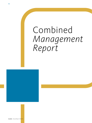# Combined *Management Report*

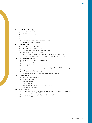#### [Foundations of the Group](#page-2-0)

- [Business model of the Group](#page-2-0)
- [Strategic orientation](#page-6-0)
- [Corporate management](#page-8-0)
- [Research and development](#page-10-0)
- [Human resources](#page-11-0)
- [Environmental protection and occupational health](#page-12-0)
- [Separate Non-Financial Report](#page-13-0)

#### [Economic Report](#page-14-0)

- [General economic conditions](#page-14-0)
- [Conditions specific to the industry](#page-15-0)
- [95 Economic development within the Aurubis Group](#page-17-0)
- [Business performance in the segments](#page-26-0)
- [110 Executive Board assessment of the Aurubis Group during fiscal year 2020/21](#page-32-0)
- [Financial performance, assets, liabilities, and financial position of Aurubis AG](#page-34-0)

#### [Risk and Opportunity Report](#page-38-0)

- [Integrated risk and opportunity management](#page-38-0)
- [Risk management system](#page-38-0)
- [Independent monitoring](#page-38-0)
- [Explanation of relevant risks](#page-39-0)
- [123 Internal control and risk management system relating to the consolidated accounting process](#page-45-0)
- [Opportunity management system](#page-46-0)
- [Explanation of relevant opportunities](#page-46-0)
- [Assessment of the Aurubis Group's risk and opportunity situation](#page-48-0)

#### [Forecast Report](#page-49-0)

- [Overall economic development](#page-49-0)
- [Sector development](#page-50-0)
- [Raw material markets](#page-50-0)
- [Product markets](#page-51-0)
- [Business and earnings expectations for the Aurubis Group](#page-52-0)
- [Expected financial situation](#page-54-0)

#### [Legal Disclosures](#page-55-0)

- [133 Declaration on corporate governance pursuant to Section 289f and Section 315d of the](#page-55-0)  [German Commercial Code \(HGB\)](#page-55-0)
- [Compensation of the Executive Board and Supervisory Board](#page-55-0)
- [133 Takeover-related disclosures and explanations](#page-55-0)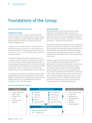# <span id="page-2-0"></span>Foundations of the Group

# Business model of the Group

#### **BUSINESS ACTIVITIES**

Aurubis AG is a company in the basic materials industry that operates worldwide. As an integrated group, we process complex metal concentrates, scrap metals, organic and inorganic metalbearing recycling raw materials, and industrial residues into metals of the highest purity.

In addition to our main metal, copper, our metal portfolio also includes gold, silver, lead, nickel, tin, zinc, minor metals such as tellurium and selenium, and platinum group metals. Sulfuric acid, iron silicate Q [Glossary, page 213](#page--1-0), and synthetic minerals round off the product portfolio.

The company's headquarters, which is also home to one of our two primary smelters, is located in Hamburg, Germany. Most of our sites are located in Europe, with larger production centers in Germany, Belgium, Bulgaria, and Spain as well as cold-rolling mills for flat rolled products, slitting centers, and rod plants in Germany and elsewhere in Europe. Outside Europe, Aurubis also has a production site in the US, and a global sales and service network.

In the previous year, Aurubis AG acquired the recycling company Metallo effective May 29, 2020, with production sites in Beerse, Belgium, and Berango, Spain. The Metallo Group companies were included in the prior-year consolidated financial statements starting June 1, 2020, so for four months.

#### **BUSINESS MODEL**

Metals play a pivotal role in a number of forward-looking applications. Following industrialization, automation, and digitalization, the transformation to a sustainable, carbon-neutral economy and society is currently posing significant challenges. Many of the solutions in this area – such as electric vehicles and wind turbines – are based on the use of metals.

The Aurubis Group's business model rests on three fundamental pillars: the processing of raw materials from the mining industry, the processing of recycling materials, and product business. This provides Aurubis with a great deal of efficiency and flexibility in managing raw material procurement, production, and sales. Different market cycles influence each of the three fundamental pillars as well.

We process copper concentrates that are obtained from ores and are offered by mining and trading companies on the global market. The necessary feed materials for our two primary smelters in Hamburg and Pirdop are purchased worldwide. Aurubis doesn't hold any stakes in mines and has a globally diversified supplier portfolio. We source a significant portion of our copper concentrates from South American countries such as Peru, Chile, and Brazil. We also purchase raw materials from other countries like Bulgaria, Georgia, and Canada. As a buyer, Aurubis competes with other international primary smelters, particularly in China and Japan. Copper concentrates for the Hamburg site reach us primarily by waterway and are



#### Business model in fiscal year 2020/21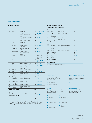#### <span id="page-3-0"></span>Sites and employees

#### Consolidated sites

#### **Europe** DE Hamburg Aurubis AG 2,526 **ACTES** headquarters **FAAA** Aurubis Product Sales  $11\text{ }p$ GmbH E.R.N. Elektro-Recycling 15  $C2$ NORD GmbH Peute Baustoff GmbH 12  $\mathcal{L}$ Lünen Aurubis AG 665  $C$   $\blacksquare$   $\blacksquare$  . Stolberg Aurubis Stolberg 396  $CO$  or  $\ell$ GmbH & Co. KG  $115$  el Emmerich Deutsche Giessdraht GmbH Röthenbach RETORTE GmbH  $41$   $\blacksquare$ Selenium Chemicals & Metals Berlin Aurubis AG 3 Group representative office BG Pirdop Aurubis Bulgaria AD 896 8CF& BE Olen Aurubis Belgium NV/SA 621  $\overline{\mathbb{C}}$  i  $\ominus$   $\overline{\phantom{a}}$ Beerse Metallo Belgium NV 444 C PD Metallo Group 3 Holding NV NL Zutphen Aurubis Netherlands BV 288  $C \nrightarrow C$ FI Pori Aurubis Finland Oy 271  $\textcircled{r}$  27 IT Avellino Aurubis Italia Srl 91 Mortara Aurubis Mortara S. p. A. 27  $\mathbf{v}$ ES Berango Metallo Spain S. L. U. 97  $\mathscr{D}$ Barcelona Aurubis Product Sales 1  $\tilde{D}$ GmbH UK Smethwick/ Aurubis UK Ltd. 23 Birmingham<br>Dolný Kubín SK Dolný Kubín Aurubis Slovakia s.r.o. 12 **17** FR Lyon/ Aurubis Product Sales  $\overline{1}$ Septème GmbH **Employees in Europe 6,559 US** US Buffalo Aurubis Buffalo Inc. 576  $\overline{\mathbb{C}}$  or **Employees in the US 576**

The KPIs relate to permanent and temporary employment arrangements as at the reporting date of September 30, 2021. Excluding Schwermetall Halbzeugwerk GmbH & Co. KG, Stolberg (DE), in which Aurubis holds a 50% stake. Sites without employees are not listed.

**Total employees 7,135**

#### Non-consolidated sites and independent sales employees

| <b>Europe</b> |                            |                                                |                |               |
|---------------|----------------------------|------------------------------------------------|----------------|---------------|
| DF            | Berlin                     | azeti GmbH                                     | 29             |               |
| <b>SE</b>     | Finspång                   | Aurubis Sweden AB                              | 3              |               |
| <b>RU</b>     | St.<br>Petersburg          | Aurubis Rus LLC                                | $\mathfrak{D}$ | $\mathcal{P}$ |
| <b>TR</b>     | Istanbul                   | Aurubis Turkey Kimya<br>Anonim Sirketi         | $\mathbf{1}$   | $\mathcal{P}$ |
|               | <b>Employees in Europe</b> |                                                | 35             |               |
| Asia          |                            |                                                |                |               |
| <b>CN</b>     | Shanghai                   | Aurubis Metal Products<br>(Shanghai) Co., Ltd. |                | 4p            |
|               | Beijing <sup>1</sup>       |                                                | $\mathbf{1}$   | $\mathcal{P}$ |
| <b>UAE</b>    | Dubai                      | Aurubis Middle East FZE                        | $\overline{2}$ | $\mathcal{P}$ |
| SG            | Singa pore <sup>1</sup>    |                                                | $\mathfrak{D}$ | ₽             |
| <b>TH</b>     | Bangko $k^1$               |                                                | 1              | ₽             |
| P             | Tokyo <sup>1</sup>         |                                                | 1              | ₽             |
| <b>KR</b>     | SeOU <sup>1</sup>          |                                                | 1              | ♪             |
|               | <b>Employees in Asia</b>   |                                                | 12             |               |
|               | <b>Total employees</b>     |                                                | 47             |               |

1 Agency/independent sales employees.

#### **Raw materials**

Concentrates and recycling materials are the raw materials from which copper is produced.

- **A** Concentrates
- $\mathbb C$  Recycling materials

#### **Products**

The copper is processed into products. Some products are already the result of copper production.

- **T** Cathodes Sulfuric acid
- Wire rod **S** Iron silicate
- 
- Shapes Strip/foil
- **H** Specialty profiles **Specialty wire**
- **Precious metals** Synthetic

minerals

 $\blacksquare$  Minor metals

**Sales and distribution network** An international sales and distribution network markets our products.

Þ

#### **Slitting centers**

Service centers located near our customers slit strip to the desired dimensions.

O,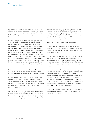transshipped via the port terminal in Brunsbüttel. There, the different copper concentrates are also premixed in accordance with the requirements of our production process. At the site in Pirdop, Bulgaria, concentrates reach us by land and sea via the port of Burgas.

In addition to copper concentrates, we use copper scrap and various organic and inorganic metal-bearing recycling raw materials, industrial residues, and bought-in metallurgical intermediates as feed material. Most of the copper scrap and metal-bearing recycling raw materials for our four secondary smelters in Lünen (Germany), Olen and Beerse (both in Belgium), and Berango (Spain) are sourced in the European and North American market. Furthermore, we use copper scrap with high copper contents for process management purposes in both of our primary smelters in Hamburg (Germany) and Pirdop (Bulgaria). Metal trading companies are the main actors on the supply side for recycling materials, though some recycling materials also reach us directly from industry through our "closing the loop" approach.

On the demand side, our main competitors are other copper and metal smelters, as well as metal processors that also utilize recycling materials. Most of the copper scrap reaches us by land.

In the course of our production processes, we convert copper concentrates and recycling materials into copper cathodes. This is the standardized product format that is traded on the international metal exchanges. Copper cathodes are the starting product for fabricating additional copper products, but they can also be sold directly.

Our product portfolio mainly comprises standard and specialty products made of copper and copper alloys. When it comes to processing, we have manufacturing capabilities for continuous cast copper wire rod, continuous cast shapes, rolled products, strip, specialty wire, and profiles.

Additional products result from processing the elements that accompany copper in the feed materials, elements that are in some cases purchased on purpose as part of our multimetal approach. In particular, these include different metals such as gold, silver, lead, nickel, tin, zinc, minor metals like tellurium and selenium, and platinum group metals.

We also produce iron silicate and synthetic minerals.

Sulfuric acid forms as a by-product of copper concentrate processing. Sulfuric acid customers are very diverse and include international companies from the chemical, fertilizer, and metal processing industries.

The sales markets for our products are varied and international. Aurubis' direct customers include companies from the copper semis industry, the cable and wire industry, the electrical and electronics sector, and the chemical industry, as well as suppliers from the renewable energies, construction, and automotive sectors.

To close the value chain for copper and other metals, we place a high priority on the "closing the loop" approach. The focus of this approach is on materials such as production waste and residues that accumulate along the copper value chain in production, for example with our customers. The materials range from copper scrap with very high copper content, which we can directly feed into the copper fabrication process, to stamping waste containing precious metals and high levels of copper, alloyed scrap, slags from foundries, and other industrial residues.

We regularly hedge fluctuations in metal and energy prices and the US dollar exchange rate in accordance with our hedging strategy for the most part.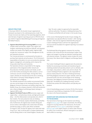#### **GROUP STRUCTURE**

In fiscal year 2020/21, the Aurubis Group's organizational framework was based on the underlying business model. The Group's structure was made up of two operating segments, which were the basis of segment reporting pursuant to IFRS 8 for fiscal year 2020/21: Segment Metal Refining & Processing and Segment Flat Rolled Products.

» Segment Metal Refining & Processing (MRP) processes complex metal concentrates, copper scrap, organic and inorganic metal-bearing recycling raw materials, and industrial residues into metals of the highest quality. Segment MRP includes the Commercial, Supply Chain Management (SCM), and Operations divisions.

The Commercial division is commissioned by the plants to purchase feed materials and sell products. The SCM division's responsibility to the plants is to carry out production planning, logistics management, and sampling, and to improve the Group-wide metal flows and inventories.

The Operations division is responsible for the ongoing optimization of the integrated smelter network and the production of all basic products and metals, as well as for their further processing into other products, such as continuous cast wire rod and shapes. Among other items, copper cathodes are manufactured at the sites in Hamburg, Lünen (both in Germany), Pirdop (Bulgaria), and Olen and Beerse (both in Belgium).

The cathodes produced at the smelters are processed further into wire rod and shapes at the Hamburg (Germany), Olen (Belgium), Emmerich (Germany), and Avellino (Italy) sites. The Metallo Group, the company acquired in 2020 with production sites in Beerse (Belgium) and Berango (Spain), belongs to Segment MRP as well.

» Segment Flat Rolled Products (FRP) processes copper and copper alloys – primarily brass, bronze, and high-performance alloys – into flat rolled products and specialty wire, which it then markets. The main production sites are Stolberg (Germany), Pori (Finland), Zutphen (Netherlands), and Buffalo (US). Furthermore, the segment also includes slitting and service centers in Birmingham (UK), Dolný Kubín (Slovakia), and Mortara (Italy), as well as sales offices worldwide. On August 9, 2021, Aurubis AG signed a term sheet with Intek Group S.p.A., Italy, to sell the plant in Zutphen (Netherlands) and the slitting centers in the United Kingdom, Slovakia, and

Italy. The sale is subject to approval by the responsible antitrust authorities. The plants in Stolberg (Germany), Pori (Finland), and Buffalo (US) will remain in the Aurubis Group.

In the course of developing the Aurubis Group's strategy, the segmentation was adjusted effective October 1, 2021. Starting October 1, 2021, the two segments Multimetal Recycling and Custom Smelting & Products will form the organizational structure and the foundation for segment reporting in accordance with IFRS 8.

The Multimetal Recycling segment comprises the recycling activities in the Group and thus the processing of copper scrap, organic and inorganic recycling raw materials containing metal, and industrial residues. The segment mainly includes the Lünen (Germany), Olen, Beerse (both in Belgium), and Berango (Spain) sites.

The Custom Smelting & Products segment joins the production facilities for processing concentrates and manufacturing and marketing standard and specialty products such as cathodes, wire rod, shapes, strip products, sulfuric acid, and iron silicate. The Custom Smelting & Products segment is also responsible for precious metal production. The sites in Hamburg (Germany) and Pirdop (Bulgaria) manufacture copper cathodes, which are processed further into wire rod and shapes at the Hamburg (Germany), Olen (Belgium), Emmerich (Germany), and Avellino (Italy) sites. The Buffalo (US), Stolberg (Germany), and Pori (Finland) sites produce flat rolled products and specialty wire products.

A list of shareholdings pursuant to Section 313 (2) of the German Commercial Code (HGB) as at September 30, 2021 is provided in the notes to the financial statements.

#### **SIGNIFICANT INFLUENCING FACTORS RELEVANT TO THE BUSINESS**

The main drivers of earnings are the treatment and refining charges  [Glossary, page 214](#page--1-0) for copper concentrates, the refining charges for recycling materials, the metal prices, the Aurubis copper premium Q [Glossary, page 214](#page--1-0), and product surcharges  [Glossary, page 214](#page--1-0) for copper products, as well as sales revenues for sulfuric acid. Furthermore, efficient metal gains in our plants lead to effects on earnings.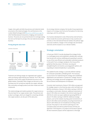<span id="page-6-0"></span>Copper, silver, gold, and other key precious and industrial metals are priced on the metal exchanges, first and foremost on the London Metal Exchange (LME  $\Box$  [www.lme.com](https://www.lme.com)) Q [Glossary, page 213](#page--1-0), which facilitate physical transactions, hedging, and investment business. The prices are not just benchmarks for exchange trading but serve as the basis for pricing in the raw material and product business.

#### Pricing along the value chain

Schematic illustration



Treatment and refining charges are negotiated with suppliers when purchasing copper-bearing raw materials. The TC/RC trend depends on the current supply and demand structure on the global markets. Essentially, these charges are discounts on the purchase price for turning raw materials into copper cathodes (the commodity exchange product) and other metals and metal compounds.

The metal exchange and market quotation for copper serves as the price basis for our copper product sales. The premium and product surcharges, which are charged for converting cathodes into copper products, are also part of the sales price.

As an energy-intensive company, the Aurubis Group experiences impacts on its energy costs from price fluctuations for electricity, natural gas, and CO<sub>2</sub> certificates.

Our business development is also influenced by external factors. These include the economic performance in key countries and activities on the international financial markets; the political, legal, and social conditions; changes in the exchange rate and interest rate level; and the situation on our relevant markets.

# Strategic orientation

In fiscal year 2020/21, Aurubis developed the strategy further in a multistage process and established a detailed plan outlining how Aurubis will continue solidifying and expanding its position as one of the most efficient and sustainable multimetal producers in the world. From a strategic standpoint, the Group will be guided by three key areas in the future: securing and strengthening the core business, pursuing growth options, and expanding its industrial leadership in sustainability.

The updated Aurubis strategy is a precisely defined roadmap for continued sustainable, profitable growth. The necessary success factors for implementing the strategy were established: digitalization and automation in production, strategic resource planning, and strategic personnel management, which includes the recruitment and development of employees.

Currently, total investments of about € 350 million are approved for strategic projects in the three key areas, which will lead to an EBITDA contribution of about € 100 million starting in 2025/26 according to current plans. Moreover, additional investments of about € 250 million are included in the mid-term planning until 2025/26, for which we expect additional operating EBITDA of about € 70 million starting in 2029/30. Additional strategic projects, such as the modular recycling system (investments of about € 250 million each) and battery recycling (investments of about € 200 million) are not included but are being actively pursued. The projects in the mid-term planning are in the conception phase and will be pushed forward until they are approved. In the long term, our projects are focused on growth. All new investment projects will be subjected to a thorough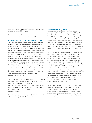sustainability review as a matter of course. Every new investment supports our sustainability targets.

The projects will primarily be financed from the current cash flow and available funds. There is no need for a capital increase.

#### **SECURING AND STRENGTHENING THE CORE BUSINESS**

The Aurubis Group's core business is processing raw materials containing metals, both concentrates and recycling materials. Aurubis will invest in recycling projects at different sites to expand processing capacities and continue boosting multimetal recovery within the Group-wide smelter network. Synergies can be used more strongly by connecting sites in a targeted way and optimizing material flows. An initial example is the ASPA project (Advanced Sludge Processing by Aurubis). On July 28, 2021, Aurubis announced the planned construction of a state-of-the-art hydrometallurgical recycling facility at the Beerse site in Belgium. A total of  $\epsilon$  27 million of the approved investments for strategic projects are planned for this facility, in which anode sludge, a valuable intermediate product of the copper tankhouse from the recycling sites in Beerse (Belgium) and Lünen (Germany), will be processed. The construction of the facility is scheduled to start in the second quarter of 2022, with commissioning in early 2024. After commissioning, we expect a contribution of about  $\epsilon$  7 million to operating EBITDA.

The modernization of the tankhouse at the Lünen site will likewise strengthen the core business. A total of  $\epsilon$  60 million is being invested in the renovation of the facility. At the end of the modernization in about two years, the capacity of the tankhouse, where the most energy-intensive part of the copper production process takes place, will be expanded by 10% thanks to an increase in efficiency.

The additional investments of about € 250 million included in the mid-term planning until 2025/26 focus on this key area.

#### **PURSUING GROWTH OPTIONS**

Proceeding from our core business, Aurubis is pursuing new growth options. The recycling business is a central driver of growth for us. The rising importance of sustainability in Europe and the US will lead to higher recycling rates and thus a growing supply of complex recycling materials. There are significant growth opportunities in North America and Europe in particular. The Aurubis Modular Recycling System is a scalable system for new recycling plants that enables us to build new capacities in a modular – and therefore flexible and needs-based – approach and to integrate them into the expanded Aurubis smelter network.

The first plant that Aurubis will build using the modular system will be located in Augusta (Richmond County) in the US state of Georgia. The entire North American market for multimetal recycling comprises about 6 million t of recycling material, but local processing capacities have been limited up to now. On November 10, 2021, Aurubis announced that it would build the first secondary smelter specializing in multimetal recycling in the US for about € 300 million. With the technology planned for Aurubis Richmond, USA, Aurubis will become a forerunner in multimetal recycling in the US – a position that Aurubis already holds in Europe. Aurubis Richmond will process about 90,000 t of complex recycling material into 35,000 t of blister copper each year. The start of construction is planned for summer 2022. The plant should be commissioned in the first half of 2024. The expected operating EBITDA of the plant will be about € 80 million per year starting in fiscal year 2025/26.

With the expansion of electric vehicles, the demand for lithiumion batteries is growing sharply – as is the demand for raw materials to produce them. In the longer term, we see considerable growth options in battery materials and battery recycling. Battery recycling is a high-priority growth segment for Aurubis, and we will invest in recycling facilities in this area, too, after successful pilot trials.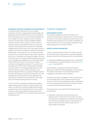#### <span id="page-8-0"></span>**EXPANDING INDUSTRY LEADERSHIP IN SUSTAINABILITY**

Sustainable conduct and business activity are integral components of Aurubis' strategy. Based on binding targets and appropriate measures related to the environment, social issues, and corporate governance, we are enshrining sustainability even more strongly in the entire company in all of our workflows, processes, and new projects. We have established targeted measures and KPIs to reduce emissions in order to make our production carbon-neutral well before 2050. Our production techniques already make a pivotal contribution to responsibly handling resources and thus play a role in the energy transition, in addition to our products. An important milestone on the path to decarbonization is the reduction of our CO<sub>2</sub> emissions (Scope 1 and 2) by 50% until 2030. We want to reduce Scope 3 emissions, which arise in the upstream and downstream stages of the value chain, by 24% per ton of copper cathodes during the same period as well. The targets were validated by the Science Based Targets initiative (SBTi) in June 2021. This means that our targets contribute to limiting global warming to 1.5°C pursuant to the Paris Agreement. We will continue implementing our detailed roadmap to achieve our climate goals. Regarding Scope 1 and Scope 2 emissions, we rely on technical measures such as decarbonizing plant facilities by using green hydrogen instead of fossil fuels, electrifying our production, utilizing waste heat, and expanding the purchase of green electricity. Approaches for reducing Scope 3 emissions include cooperation in the supply chain and increased recycling activities, for example.

In 2022, we will start expanding our Industrial Heat project in Hamburg and anticipate investments of approximately € 100 million. Cost efficiency is achieved through expected funding provided by the German Federal Ministry for Economic Affairs and the city utility company Wärme Hamburg GmbH. After completion, up to 100,000 t of CO<sub>2</sub> emissions will be prevented in Hamburg each year.

#### Corporate management

#### **MANAGEMENT SYSTEM**

The corporate management system's main objective is to increase the Aurubis Group's corporate value. In order to achieve this, the aim of the Group is to generate a positive overall value contribution that exceeds the costs of capital. Sustainability is an important element of the Group strategy. Sustainability criteria fundamentally guide our investment projects.

#### **GROUP CONTROL PARAMETERS**

In order to measure financial success for the medium and long term within the scope of value-oriented corporate management processes, Aurubis uses the following central control parameters:

- » Operating consolidated earnings before taxes = operating EBT
- **»** Operating return on capital employed for the Group **Q Glossary**, [page 215](#page--1-0) = operating ROCE

These parameters are regularly reported to the Executive Board and are utilized for internal management control purposes. The variable compensation of the Executive Board and the management is also based on these parameters.

The internal reporting and management of the Group are based on the operating result in order to demonstrate the Aurubis Group's success for internal management purposes, independent of certain measurement influences that are necessary to report in accordance with IFRS (as described below).

The operating result is derived from the IFRS-based financial performance by:

» Adjusting for measurement results deriving from the application of IAS 2 (Inventories). In this context, the metal price fluctuations resulting from the application of the average cost method are eliminated. Likewise, non-permanent writedowns or write-ups of metal inventory values as at the reporting date are eliminated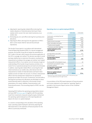- » Adjusting for reporting date-related effects deriving from market valuations of metal derivatives that haven't been realized, which concern the main metal inventories at our smelter sites
- » Eliminating any non-cash effects deriving from purchase price allocations
- » Adjusting for effects deriving from the application of IFRS 5 (Non-current Assets Held for Sale and Discontinued Operations)

The Aurubis Group reports in accordance with International Financial Reporting Standards (IFRS). For internal management purposes, the Aurubis Group did not adopt the amendment to IAS 2 made in the past, which requires the exclusive application of the LIFO or average cost method. This decision was taken to avoid earnings volatility due to metal price fluctuations resulting from measurement according to the average cost method. Such related measurement effects, in our opinion, are not necessary to gain an understanding of the Aurubis Group's business activities or its results from an operational perspective and need to be eliminated. In addition, reporting date-related effects concerning the main metal inventories at our smelter sites, which derive from the measurement at market of metal derivatives and haven't been realized, are also not taken into account. In contrast, measurement effects that have already been realized from an operational perspective are taken into account. Furthermore, one-time effects deriving from purchase price allocations are eliminated, as these would otherwise lead to a distortion in the Aurubis Group's presentation of its assets, liabilities, financial position, and financial performance. The accounting impacts of IFRS 5 are also reversed.

Operating ROCE defines the operating earnings before interest and taxes (EBIT Q [Glossary, page 215](#page--1-0)) together with the operating result from investments measured using the equity method and the operating capital employed as at the reporting date and depicts the return on capital employed.

In a manner corresponding to the calculation of the operating result, operating capital employed is derived by adjusting the IFRS-based items in the statement of financial position for the effects as previously mentioned.

#### Operating return on capital employed (ROCE)

| in $\epsilon$ million                               | 9/30/2021 | 9/30/2020 |
|-----------------------------------------------------|-----------|-----------|
|                                                     |           |           |
| Fixed assets, excluding financial<br>fixed assets   | 1,878     | 1,836     |
| Inventories                                         | 1,770     | 1,855     |
| Trade accounts receivable                           | 550       | 490       |
| Other receivables and assets                        | 265       | 200       |
| - Trade accounts payable                            | $-1,406$  | $-1,149$  |
| - Provisions and other liabilities                  | $-642$    | $-500$    |
| Capital employed as at the                          |           |           |
| reporting date                                      | 2,415     | 2,731     |
|                                                     |           |           |
| Earnings before taxes (EBT)                         | 353       | 221       |
| Financial result                                    | 13        | 2         |
| <b>Earnings before interest</b><br>and taxes (EBIT) | 366       | 223       |
|                                                     |           |           |
| Pro forma EBIT of the Metallo Group <sup>1</sup>    |           | 18        |
| Investments accounted for using                     |           |           |
| the equity method                                   | 10        | 13        |
| <b>Earnings before interest and</b>                 |           |           |
| taxes (EBIT) - adjusted                             | 376       | 253       |
|                                                     |           |           |
| Return on capital employed<br>(operating ROCE)      | 15.6%     | 9.3%      |

<sup>1</sup> Result for four months already included in EBIT in the previous year; pro forma additional result for eight months.

A reconciliation of the IFRS-based statement of financial position and income statement to the respective "operating" figures is provided in the Economic Report section of the Combined Management Report.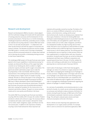# <span id="page-10-0"></span>Research and development

Research and development (R&D) at Aurubis is clearly aligned with the multimetal strategy and includes both the optimization of existing production processes and the development of new processes and products. The key focus is on further developing metallurgical expertise to efficiently, sustainably process complex raw materials and recycling materials. A diverse R&D team works on this in its own labs and pilot plants – in collaboration with other Aurubis divisions and with the support of universities and research institutes. The demands of production and the strategy drive R&D projects. Currently, work is focusing on developing resource-efficient processing methods for complex feed materials and on devising new processes or developing existing processes to treat future material flows.

The metallurgical R&D projects of the past fiscal year were mainly geared to the Group's capabilities in multimetal processing. For example, we enhanced the efficiency of the copper-lead-sulfur converter at our Hamburg site, which is evident in a higher production capacity and lower specific oxygen consumption. The goal of yet another optimization project was to make the recycling facility in Olen more flexible. With the process improvements in the smelting furnace and the tankhouse, Aurubis can already process a higher volume of complex recycling materials. We plan to continue the project in the coming year. For the ASPA project (Advanced Sludge Processing by Aurubis), an R&D team in Beerse developed a special hydrometallurgical process for anode slime processing over several years. During the past fiscal year, this process was successfully demonstrated in pilot trials, creating the foundation for the construction of an industrial-scale facility in Beerse. The goal is to recover precious metals and tin more quickly and efficiently in the future.

Yet another R&D focus during the past fiscal year was battery recycling. With the mobility shift in Europe, the number of hybrid and electric vehicles will continue to surge. The necessary lithiumion batteries will create a stark increase in demand for metals such as nickel, cobalt, manganese, copper, and lithium over the next several years. In addition to the importance of battery recycling in and of itself, demand for these important raw

materials will be partially covered by recycling. The battery of an electric car consists of different components, such as the case, busbars, control electronics, cooling, and the actual electrochemical cells. Aurubis can already process materials from these types of batteries. In the lab, the Hamburg R&D team developed a hydrometallurgical process to recycle black mass, the core of the battery cell, and applied for a patent. Black mass contains metals such as nickel, cobalt, manganese, and lithium. Our development enables very high recycling rates for these metals. We want to use it to expand our metal portfolio to include cobalt and lithium and to fulfill the high future requirements for metal recovery in the EU battery directive. The starting point for our development was our expertise in nickel recovery, which we have supplemented in a modular fashion with new, innovative procedures. During the past fiscal year, we carried out laboratory development with black mass of different compositions and acquired special know-how in this area. To further validate the process, we're setting up a pilot plant at our Hamburg site and planning trials on a technical scale in fiscal year 2021/22.

Used in place of natural gas or other fossil reducing agents, hydrogen can reduce  $CO<sub>2</sub>$  emissions in copper production in the future. R&D is investigating the metallurgical use of hydrogen in Aurubis' processes. A flagship project is the large-scale trial on the use of hydrogen in the anode furnace of the Hamburg primary smelter (see the VCI Nord Responsible Care competition). We have kicked off additional projects together with universities in order to investigate key metallurgical fundamentals regarding the behavior of hydrogen in complex metallurgy.

As a sub-area of sustainability, environmental protection is a top priority for Aurubis. As a result, we are continuously developing our processes and methods to reduce emissions of all kinds. For instance, during the past fiscal year, an R&D team at the Pirdop site developed a wastewater treatment process, among other things. This will lead to reduced waste volumes and lower chemical consumption at the site in the future.

Electric vehicles are also impacting many applications and developments in our copper product portfolio. For example, when it came to connectors for automotive applications, R&D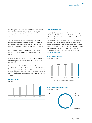<span id="page-11-0"></span>activities zeroed in on innovative coating technologies and the understanding of their behavior in use, as well as process developments to boost throughput. We sampled highly conductive, precipitate-forming copper materials for connectors with customers.

The R&D department continued a wire rod project with the target of achieving complex cross-sections and expanding the alloy portfolio on the basis of pure copper. In this case, too, development work led to initial applications in electric vehicles.

We continued our research activities in the area of power electronics for electric vehicles with university and industry partners.

As in the previous year, Aurubis developed a number of lead-free machinable materials (BlueBrass family) during the reporting period as well.

The entire Aurubis Group's R&D expenditures in fiscal year 2020/21 amounted to € 12 million, compared to € 15 million in reporting year 2019/20. We have a total of 77 employees in this area (previous year: 88 employees), who are located at our sites in Beerse, Buffalo, Hamburg, Lünen, Olen, Pirdop, Pori, Stolberg, and Zutphen.

#### R&D expenditure





#### Human resources

A total of 7,135 people were employed by the Aurubis Group as at September 30, 2021 (previous year: 7,236). Of this number, 47.0% worked outside of Germany and 53.0% worked at German sites. The decline in the number of employees is primarily connected with cost reduction measures within the context of the Performance Improvement Program (PIP), as well as the transfer of employees to a joint venture (Cablo GmbH). Most of our employees are geographically dispersed as follows: Germany (3,784), Belgium (1,068), Bulgaria (896), the US (576), the Netherlands (288), Finland (271), Italy (118), and Spain (98). Q [Sites and employees, page 81](#page-3-0)

#### Aurubis Group employees

Number as at 9/30/2021



#### Aurubis Group personnel structure

Number as at 9/30/2021

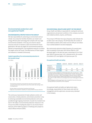### <span id="page-12-0"></span>Environmental protection and occupational health

#### **ENVIRONMENTAL PROTECTION IN THE GROUP**

We take responsibility for protecting our environment and our climate. Our production facilities therefore use modern and energy-efficient plant technology that complies with very high environmental standards. In this way, we conserve natural resources and aim to maintain a clean environment for future generations. We have set targets for environmental protection, defined corresponding KPIs, and established measures to achieve the targets across the Group. The effectiveness of these targets and measures is reviewed continuously.

#### Capital expenditure for environmental protection in the Aurubis Group<sup>1</sup>

in € million



<sup>1</sup> Environmental investments of all production sites that are majority-owned by Aurubis (>50 %); data collected from some of the smaller sites starting in 2013. <sup>2</sup> Including Metallo.

The data relates to environmental investments per fiscal year. Single years are provided for readability, for example 2020 for fiscal year 2019/20.

The continuous improvement of water pollution control, soil conservation, climate protection, and emission prevention is key to achieving sustainable environmental protection and is only possible through ongoing investments. Aurubis has invested more than € 730 million in environmental protection measures in the Group since 2000, including the project to use process heat to heat part of the HafenCity district in Hamburg and a project to reduce diffuse emissions (RDE).

#### **OCCUPATIONAL HEALTH AND SAFETY IN THE GROUP**

Group Health and Safety is responsible for creating the technical, organizational, and personal conditions in the company to prevent work-related accidents, injuries, and illnesses.

The acronym LTIFR (lost time injury frequency rate) indicates the accident rate in the company. This KPI describes the number of work-related accidents with at least one lost shift per one million hours worked (related to Aurubis employees).

We continuously reduced accident frequency for several years. After increasing in fiscal years 2017/18 and 2018/19, LTIFR decreased again in the past two years, amounting to 5.0 in fiscal year 2020/21 (previous year: 5.4). In absolute terms, the number of accidents (LTI) rose slightly to 54 (previous year: 51).

#### Occupational health and safety

|                       |     |    | 2020/21 2019/20 2018/19 2017/18 2016/17 |    |    |
|-----------------------|-----|----|-----------------------------------------|----|----|
| Absolute<br>number of |     |    |                                         |    |    |
| accidents $(LTI)^1$   | 54  | 51 | 61                                      | 60 | 47 |
| $1$ TIFR <sup>2</sup> | 5.0 | 54 | 60                                      | 59 |    |

<sup>1</sup> Including the Beerse (Belgium) and Berango (Spain) sites starting June 1, 2020. Excluding Cablo Metall-Recycling und Handel GmbH, Ferbellin, starting June 1, 2021 (which, since June 1, 2021, has belonged to the joint venture Cablo GmbH with the recycling company TSR Recycling GmbH & Co. KG; Aurubis holds a 40% stake in Cablo GmbH) and excluding Schwermetall Halbzeugwerk GmbH & Co. KG.

<sup>2</sup> Beerse (Belgium) and Berango (Spain) sites included for the entire fiscal year starting 2019/20 so that KPIs can be compared.

Occupational health and safety are high-priority topics. Accordingly, responsibility for these issues rests with the management and the supervisors, but also every individual in the company.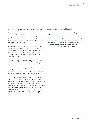<span id="page-13-0"></span>In the long term, we want to achieve our Vision Zero, meaning that our goal is to have zero work-related injuries and illnesses. Precautions to prevent accidents are in place to contribute to making the vision a reality. One of these measures to promote changes in behavior is the Group-wide communication campaign 10forZero. This concept combines new communication tools together with training units to implement the 10 Golden Rules of occupational health and safety.

Additional measures contribute to achieving the vision as well: detailed risk assessments that are used to derive appropriate precautions and instructions, audits, cross-site checks, and training measures. Furthermore, we stringently monitor our occupational safety performance and translate the results into appropriate measures.

Most of the sites are certified in accordance with ISO 45001. We continuously develop occupational safety management at the sites to conform to the requirements of the standard.

A software that is steadily being rolled out in the Group supports occupational safety processes such as risk assessments, the assignment of legal obligations, accident and near-miss disclosure and review, and site-specific and Group-wide reporting.

Since the start of the COVID-19 pandemic, we have had a Group crisis team including the largest sites that meets online with the entire Executive Board weekly depending on the current situation. In this way, we have quickly established specific plans and measures to prioritize protecting employees' health while keeping operations up and running. The measures have been steadily adjusted to the ongoing circumstances of the pandemic and include testing and vaccination offers in in-house vaccination centers or at external organizations in cooperation with other companies.

# Separate Non-Financial Report

The section o Sustainability, pages 44-73 in the Annual Report provides additional information on the topics of sustainability, environmental protection, energy, the climate, and occupational health, as does our website  $\Box$  [www.aurubis.com](https://www.aurubis.com/en/) in accordance with the statutory deadlines. Aurubis AG reports on both the Aurubis Group and Aurubis AG in the form of a consolidated, separate Non-Financial Report, whose content is available in the Sustainability section of this report and on the website.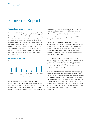# <span id="page-14-0"></span>Economic Report

# General economic conditions

Expected GDP growth in 2021

In fiscal year 2020/21, the global economy recovered from the previous year's economic slump brought on by the COVID-19 pandemic. Due to the increase in vaccination rates worldwide, especially in industrialized nations, the economy swiftly recovered in a number of countries in the past fiscal year following the lockdowns that had been in place. In its October forecast, the International Monetary Fund (IMF,  $\Box$  www.imf.org) expects an increase of 5.9% in global economic growth for 2021 – following a 3.1% decline the year before. The pandemic situation is still strained in some national economies and is leading to new lockdowns in certain regions, while the vaccination rates worldwide are rising.



For the eurozone, the IMF forecasts 5.0% growth for 2021 (previous year: -6.3%). For Germany, whose slump of -4.6% in calendar year 2020 was less pronounced than in France, Spain, or Italy, GDP growth of 3.1% is anticipated for 2021. Economic recovery in the eurozone was particularly driven by a bounce-back of industry to the pre-pandemic level. In contrast, the service sector remains below the pre-COVID-19 level due in part to new regional lockdowns and travel restrictions until March of this calendar year. Political assistance in the form of economic programs and state support was expanded again in 2021 to soften the impacts of the COVID-19 pandemic.

For the US, the IMF predicts GDP growth of 6.0% for 2021 (previous year: -3.4%). The main drivers of this stable growth have been fiscal policy measures and new infrastructure investments. According to the IMF, risks for the economic growth forecast include the outbreak of additional variants of the virus and the possibility that infrastructure support and family assistance might not reach the levels indicated.

The economic recovery that took hold in China in Q2 2020 is supposed to continue its momentum during the calendar year. At 8.0%, the IMF forecasts significantly stronger economic growth than the previous year (2.3%) despite new mobility restrictions in individual regions due to the outbreak of COVID-19 infections and a reduction in public investments.

In 2021, the global financial markets were once again shaped by fiscal policy measures to stem the effects of COVID-19. Central banks around the world lowered interest rates and expanded their balance sheets, facilitating loose monetary policy. The European Central Bank (ECB) extended its purchases of securities under the Pandemic Emergency Purchase Programme (PEPP) again and provided favorable financing options. The US Federal Reserve has kept the federal funds rate within a corridor of 0.00% to 0.25% in the current calendar year and has continued its pandemic purchase programs.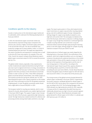# <span id="page-15-0"></span>Conditions specific to the industry

Aurubis is mainly active on the international copper market and its submarkets, which underwent the following developments in fiscal year 2020/21:

In 2021, the international copper concentrate market was characterized by improved mining output compared to the previous year, and thus a higher concentrate supply, particularly in the second half of the year. The rate of worldwide mine production outages due to severe weather, strikes, or COVID-19 remained below prior-year level. The supply was supported by the restart of production and expansions in existing mines, as well as the kick-off of new mine projects, for example in Peru and Chile. Overall, the research company Wood Mackenzie expects global copper concentrate output for 2021 to exceed the previous year by 2.5%.

The global smelter industry, especially in Asia, experienced a number of planned and unplanned downtimes during the fiscal year, due in part to regional restrictions on energy consumption in China at the end of the fiscal year. Furthermore, Chinese smelters agreed to limit their purchases on the international concentrate markets in order to shore up TC/RCs. These effects dampened global concentrate demand. Nevertheless, new smelter projects in Asia started up production during the calendar year. For 2021, Wood Mackenzie expects 0.8% capacity expansion on the smelter side, with China continuing to account for the greatest proportion of global growth. In total, the global concentrate market should have a slight deficit of around 200,000 t in 2021.

The European market for recycling raw materials, which is most relevant for Aurubis, demonstrated a very volatile, high-level trend in fiscal year 2020/21 again. The supply of copper scrap in Europe rose at the start of the fiscal year, supported by high metal prices overall. The high metal prices created incentives for collection and processing activities among metal traders and led to a very high

supply. The import quota system in China, which placed stricter import restrictions on copper scrap and other recycling material groups, also led to additional supply in Europe. Subsequently, refining charges for copper scrap steadily increased to a very high level until summer 2021. The oversupply normalized at the end of the fiscal year, which led to a reduction in refining charges for copper scrap, though they remained at a continued high level. Complex recycling materials such as electronic scrap and industrial residues experienced high supply during the reporting period. In line with supply, refining charges for complex recycling materials increased in fiscal year 2020/21 as well.

Global production of refined copper was mainly shaped by the following factors in fiscal year 2020/21: the ramifications of the pandemic, which led to logistical problems such as a shortage of containers; the planned and unplanned downtimes on the smelter side, particularly in China; and the capacity increase on the mine side due to the expansion of existing projects and the start of new mining projects in Chile and Peru. According to the International Copper Study Group (ICSG), capacity utilization in the smelting industry was 81.9% in the first half of 2021, exceeding the prior-year level of 80.8%. Overall, Wood Mackenzie forecasts that global output of refined copper for 2021 will reach a level around 24.1 million t, 0.5% above that of the previous year.

The strong recovery of the global economy boosted demand for refined copper considerably in fiscal year 2020/21. Supported by fiscal policy measures, worldwide demand for refined copper in the first half of 2021 rose by about 3.8% compared to the previous year, according to the ICSG. The Purchasing Managers Index (PMI) indicates very high production activity for 2021, especially in Europe and the US, supported by favorable financing costs. Additionally, demand was very high in the end customer segment throughout the fiscal year. Wood Mackenzie anticipates total global demand for refined copper at 24.4 million t in calendar year 2021 (previous year: 23.5 million t).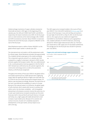Global exchange inventories of copper cathodes remained at historically low levels in 2021 again. At the beginning of the calendar year, the LME and COMEX held 74,200 t and 69,556 t, respectively, the lowest inventories since 2005. As the fiscal year went on, total inventories at the metal exchanges LME, COMEX, and SHFE recovered at a low level. About 317,000 t in total were stored at the end of the fiscal year, compared to 398,000 t at the start of the fiscal year.

Wood Mackenzie expects a deficit of about 240,000 t on the global refined copper market in calendar year 2021.

The international wire rod market is still the predominant outlet for refined copper. Wood Mackenzie estimates that approximately 74% of global cathode output goes to this market worldwide. This is expected to grow by around 5% in calendar year 2021, compared to a roughly 3% decrease in demand in 2020. Aurubis primarily supplies the European market. After very stable demand in Q1, a continued positive trend was apparent in the first half of 2021. Demand was confirmed across all customer segments, the construction and energy sectors as well as the automotive industry, as the fiscal year progressed.

Throughout the entirety of fiscal year 2020/21, the global sulfuric acid market experienced very stable demand with a tightening supply. With the significant decline in flights and road traffic due to COVID-19, the use of fuels and kerosene dropped sharply. Oil delivery rates decreased accordingly. Moreover, the obstruction of the Suez Canal affected the availability of crude oil in Europe. Because of the reduced output in oil refineries, the global supply of sulfur declined, which caused sulfur burners to produce less sulfuric acid or be shut down completely – with strong global demand due to the dynamic economic trend at the same time. As a result, spot market prices increased constantly over the entire fiscal year, both in Asia and North and South America. In Europe and Turkey, too, a tight supply with stable demand led to stark increases in spot market prices. Because of its customer and contract structure, Aurubis isn't completely exposed to developments on the spot market, and any impacts occur with a time lag.

The LME copper price increased notably in the course of fiscal year 2020/21. From US\$ 6,610/t [\(settlement](#page--1-0) Q Glossary, page 214) at the start of the fiscal year, it rose until mid-May and reached a ten-year high of US\$ 10,724/t on May 10, 2021. As the fiscal year went on, the copper price was volatile and ranged from US\$ 9,000/t to US\$ 10,000/t. Influences such as geopolitical risks, isolated outbreaks of COVID-19 infections, and strong demand for refined copper balanced each other out. The fiscal year closed with an LME copper price of US\$ 9,041/t (settlement). The average price for the fiscal year was US\$ 8,677/t (previous year: US\$ 5,857/t).

#### Copper price and metal exchange copper inventories

from October 1, 2020 to September 30, 2021

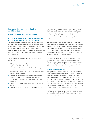# <span id="page-17-0"></span>Economic development within the Aurubis Group

#### **NOTABLE EVENTS DURING THE FISCAL YEAR**

#### **FINANCIAL PERFORMANCE, ASSETS, LIABILITIES, AND FINANCIAL POSITION OF THE AURUBIS GROUP**

The internal reporting and management of the Group are carried out on the basis of the operating result in order to present the Aurubis Group's success for internal management purposes in a manner that is independent of the measurement influences that are listed below. In consequence, its financial performance, assets, liabilities, and financial position are presented on the basis of operating figures.

The operating result is derived from the IFRS-based financial performance by:

- » Adjusting for measurement effects deriving from the application of IAS 2. In this context, the metal price fluctuations resulting from the application of the average cost method are eliminated. Likewise, non-permanent writedowns or write-ups in the value of metal inventories as at the reporting date are eliminated
- » Adjusting for reporting date-related effects deriving from market valuations of metal derivatives that haven't been realized, which concern the main metal inventories at our smelter sites
- » Eliminating any non-cash effects deriving from purchase price allocations
- » Adjusting for effects deriving from the application of IFRS 5

With effect from June 1, 2020, the Beerse and Berango sites of the former Metallo Group have been included in the financial performance, assets, liabilities, and financial position of the Aurubis Group. The financial performance for the previous fiscal year therefore includes these new Group companies for just four months.

With the signing of a term sheet in August 2021, assets and liabilities of four Group companies of Segment FRP are classified as held for sale in accordance with IFRS 5. The presentation and measurement rules specified in IFRS 5 must be applied for these assets and liabilities. These include, among other things, an aggregated disclosure of assets and liabilities held for sale in the consolidated statement of financial position.

The accounting impacts deriving from IFRS 5 in the financial statements are reversed in the reconciliation between the IFRS reporting and operating reporting, meaning that the assets and liabilities held for sale are effectively only disclosed in the IFRS consolidated statement of financial position.

#### **FINANCIAL PERFORMANCE**

In the past fiscal year, the Aurubis Group generated significantly higher operating earnings before taxes (EBT) of € 353 million in comparison to the previous year (€ 221 million). The operating return on capital employed (ROCE) was 15.6% (previous year: 9.3%). We therefore significantly exceeded our forecast, which we had increased in January 2021, which had predicted an operating EBT of between € 270 million and € 330 million and an operating ROCE of between 9% and 12%. IFRS earnings before taxes (EBT) amounted to € 825 million (previous year: € 367 million).

The following table shows how the respective operating results for the 2020/21 fiscal year and for the comparative prior-year period have been determined.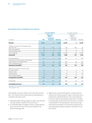#### Reconciliation of the consolidated income statement

|                                                                                         | 12 months 2020/21 |                              |                  |                | 12 months 2019/20     |                 |  |
|-----------------------------------------------------------------------------------------|-------------------|------------------------------|------------------|----------------|-----------------------|-----------------|--|
|                                                                                         |                   | <b>Adjustment</b><br>effects |                  |                | Adjustment<br>effects |                 |  |
|                                                                                         |                   | Inventories/                 |                  |                | Inventories/          |                 |  |
| iin $\epsilon$ million                                                                  | <b>IFRS</b>       | fixed assets                 | <b>Operating</b> | <b>IFRS</b>    | fixed assets          | Operating       |  |
| <b>Revenues</b>                                                                         | 16,300            | $\bf{0}$                     | 16,300           | 12,429         | 0                     | 12,429          |  |
| Changes in inventories of finished goods and<br>work in process                         | 146               | $-222$                       | $-76$            | 118            | $-108$                | 10              |  |
| Own work capitalized                                                                    | 32                | $\overline{0}$               | 32               | 23             | $\circ$               | 23              |  |
| Other operating income                                                                  | 73                | $\Omega$                     | 73               | 33             | $\circ$               | 33              |  |
| Cost of materials                                                                       | $-14.637$         | $-262$                       | $-14,899$        | $-11,199$      | $-63$                 | $-11,262$       |  |
| <b>Gross profit</b>                                                                     | 1,914             | $-484$                       | 1,430            | 1,404          | $-171$                | 1,233           |  |
| Personnel expenses                                                                      | $-554$            | $\overline{0}$               | $-554$           | $-553$         | 0                     | $-553$          |  |
| Depreciation of property, plant, and equipment<br>and amortization of intangible assets | $-219$            | 20                           | $-199$           | $-210$         | 18                    | $-192$          |  |
| Other operating expenses                                                                | $-311$            | $\Omega$                     | $-311$           | $-265$         | $\mathbf{0}$          | $-265$          |  |
| <b>Operational result (EBIT)</b>                                                        | 830               | $-464$                       | 366              | 376            | $-153$                | 223             |  |
| Result from investments measured using<br>the equity method                             | 18                | $-8$                         | 10               | 6              | 7                     | 13              |  |
| Interest income                                                                         | $\overline{4}$    | $\overline{0}$               | $\overline{4}$   | $\overline{7}$ | $\mathbf 0$           | $7\overline{ }$ |  |
| Interest expense                                                                        | $-18$             | $\Omega$                     | $-18$            | $-19$          | $\mathbf 0$           | $-19$           |  |
| Other financial expenses                                                                | $-9$              | $\Omega$                     | $-9$             | $-3$           | $\Omega$              | $-3$            |  |
| Earnings before taxes (EBT)                                                             | 825               | $-472$                       | 353              | 367            | $-146$                | 221             |  |
| Income taxes                                                                            | $-212$            | 125                          | $-87$            | $-102$         | 49                    | $-54$           |  |
| <b>Consolidated net income</b>                                                          | 613               | $-347$                       | 266              | 265            | $-97$                 | 167             |  |

[Explanations concerning the presentation and the adjustment effects can be found in](#page-17-0) Q Financial performance, assets, liabilities, and financial position of the Aurubis Group, pages 95–103.

Operating EBT in fiscal year 2020/21 was € 353 million (previous year: € 221 million) and was influenced by the following factors compared to the previous year:

- » Significantly higher refining charges for copper scrap and other recycling materials compared to the previous year
- » A considerably higher throughput of other recycling materials, due in part to the inclusion of the input materials for the Beerse and Berango sites
- » Slightly lower concentrate throughputs, coupled with lower treatment and refining charges for copper concentrates due to market factors; planned shutdowns in the Group influenced the result in both the reporting period (by some € -36 million in operating EBT) and the previous year (by some  $\epsilon$  -50 million in operating EBT). The reporting year's result was also negatively influenced by delays in the restarting of production processes following the planned shutdown in Q4 2020/21 at our site in Pirdop.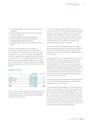- » A considerably higher metal result with a strong increase in metal prices
- » Significantly higher sulfuric acid revenues due to a strong increase in sales prices
- » Substantially higher demand for copper products,
- » Positive contributions to earnings deriving from our Performance Improvement Program (PIP)
- » Significantly higher energy costs, particularly for electricity and gas

The Group's revenues increased by € 3,871 million to € 16,300 million during the reporting period (previous year: € 12,429 million). This development was primarily due to higher copper prices in comparison to the previous year. Higher sales volumes for copper products coupled with a high price level also had a positive effect. In the breakdown by region, there was a partial shift in revenues deriving from sales of precious metals from Germany to other EU countries. In addition, the withdrawal of the United Kingdom from the from the European Union is also reflected.

#### Breakdown of revenues

| in %           | 2020/21 | 2019/20 |
|----------------|---------|---------|
|                |         |         |
| Germany        | 35      | 44      |
| European Union | 34      | 27      |
| Rest of Europe | 8       | 4       |
| Other          | 23      | 25      |
| <b>Total</b>   | 100     | 100     |

The € -76 million change in inventories of finished goods and work in process (previous year: € 10 million) was due to the reduction in intermediate products in connection with the maintenance shutdown at our site in Pirdop.

The cost of materials ratio rose increased from 90.5% in the previous year to 91.8%. The cost of materials deriving from metal purchases increased owing to higher metal prices, in a manner corresponding to the development of revenues and due to changes in inventories. Among other factors, significantly higher energy costs, due especially to higher electricity prices, were noticeable. Energy costs amounted to € 232 million in the reporting period (previous year: € 185 million).

The increase in own work capitalized to a level of  $\epsilon$  32 million in the fiscal year (previous year: € 23 million) was mainly the result of activities connected to the maintenance shutdown at the Pirdop site, as well as investments to reduce diffuse emissions at the Hamburg site.

Other operating income increased significantly by  $\epsilon$  40 million, to € 73 million, and included, among other items, income of € 27 million from cost reimbursements (previous year: € 20 million). Furthermore, € 15 million in income from insurance reimbursements connected to the severe weather impacts at the Stolberg site is also included. During the financial year reported, income from the sale of property, plant, and equipment to a joint venture (€ 6 million) and income deriving from reversals of impairment losses previously recognized against fixed assets (€ 6 million) were also recognized.

Overall, the operating gross profit generated was higher than the level achieved in the previous year and amounted to  $\epsilon$  1,430 million (previous year: € 1,233 million).

Personnel expenses increased slightly – from € 553 million in the previous year to € 554 million. This was due in particular to the first-time inclusion of the Beerse and Berango sites for an entire year. Furthermore, the fiscal year included higher costs incurred for a "coronavirus bonus" of  $\epsilon$  6 million, as well as performancebased bonuses and wage tariff increases. A counteracting effect within the personnel expenses for the fiscal year, amounting to € 14 million, resulted from the reversal of provisions previously set up for personnel-related restructuring expenses in connection with our Performance Improvement Program (PIP).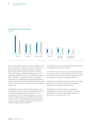#### Development of revenues by products

in € million



At a level of € 199 million, depreciation and amortization of fixed assets was higher than in the previous year (€ 192 million). The figure includes impairment losses of € 8 million recognized against Segment MRP's fixed assets. In addition, scheduled depreciation charges for the Beerse and Berango sites , which were fully included for the first time, accounted for an increase of about € 19 million. In contrast, the previous year included an impairment loss recognized against the goodwill attributable to the cash-generating unit Aurubis Hamburg Copper Products (€ 17 million), as well as recognition of additional impairment losses for Segment FRP.

The significant increase in other operating expenses to a new total level of € 311 million as at the reporting date (previous year: € 265 million) includes allocations to provisions to cover environmental risks (€ 10 million) and expenses in connection with severe weather impacts at the Stolberg site (€ 11 million). Furthermore, the inclusion of the Beerse and Berango sites (of some € 10 million) and higher selling expenses (of around € 10 million) contributed to this development.

Earnings before interest and taxes (EBIT) therefore amounted to € 366 million (previous year: € 223 million).

At a level of € -13 million, the financial result was well below that of the previous year ( $\epsilon$  -2 million) and was particularly influenced by impairment losses totaling € 8 million recognized against the carrying amounts of two non-consolidated companies.

Operating earnings before taxes (EBT) amounted to € 353 million (previous year: € 221 million), representing a considerable improvement on the figure for the previous year.

After taking income taxes into account, the operating consolidated net income after tax amounted to € 266 million (previous year: € 167 million). Operating earnings per share amounted to € 6.10 (previous year: € 3.73).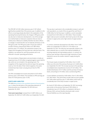The IFRS EBT of € 825 million (previous year: € 367 million) significantly exceeded that of the previous year. In addition to the effects on earnings already described in the explanation of the operating financial performance, the change in IFRS gross profit was also due to metal price developments. Use of the average cost method leads to metal price valuations that are close to market prices. Metal price volatility therefore has direct effects on changes in inventories/the cost of materials and hence on the IFRS gross profit. The IFRS gross profit in fiscal year 2020/21 includes inventory measurement effects of € 484 million (previous year: € 171 million). The substantial increase in the copper price throughout the fiscal year was a decisive factor. This volatility is not relevant for cash flow purposes and is not reflected in Aurubis' operating performance.

The reconciliation of depreciation and amortization includes an impairment loss of € 20 million recognized against assets held for sale, which are not included in the operating result. The recognition of this impairment loss did not impact the operating result as, from the date of their initial recognition, the assets involved have had a lower carrying amount than for IFRS purposes.

The IFRS consolidated net income amounted to € 613 million (previous year: € 265 million). This translates to IFRS earnings per share of € 14.03 (previous year: € 5.95).

#### **ASSETS AND LIABILITIES**

The table Q Reconciliation of the consolidated statement of financial position, [page 101](#page-23-0) shows the derivation of the operating statement of financial position as at September 30, 2021 and as at September 30, 2020.

Total assets (operating) increased from € 4,897 million as at September 30, 2020 to € 5,493 million as at September 30, 2021. This was due in particular to the considerable increase in cash and cash equivalents, as a result of the very good free cash flow of € 488 million for the fiscal year. In addition, current receivables increased from € 634 million to € 760 million. These included higher trade accounts receivable, which built up due to the sharp increase in copper prices and a high volume of copper product sales.

In contrast, inventories decreased by € 85 million, from € 1,855 million as at September 30, 2020 to € 1,770 million as at September 30, 2021. The reduction was especially marked in the input materials area, as a result of the reduced availability of recycling materials and intermediate products. In contrast, the previous year had been influenced by high inventories of input materials to secure the smelter network's supply during the pandemic.

The Group's equity increased by  $\epsilon$  245 million, from  $\epsilon$  2,403 million as at the end of the previous fiscal year to  $\epsilon$  2,648 million as at September 30, 2021. The increase was due to the operating consolidated total comprehensive income of € 321 million. The dividend distribution of € 57 million and the purchase of treasury shares, amounting to € 19 million, had a counteracting effect.

Current liabilities increased by € 469 million, from € 1,392 million to € 1,861 million. They particularly include trade accounts payable of € 1,406 million (previous year: € 1,149 million), which built up considerably due to the sharp increase in copper prices.

At a level of € 582 million as at September 30, 2021, borrowings were similar to the previous fiscal year (€ 583 million). A Schuldschein loan of € 103 million is scheduled to fall due in February 2022, and was therefore disclosed under current financial liabilities as at the reporting date.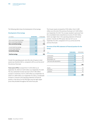The following table shows the development of borrowings.

#### Development of borrowings

| in $\notin$ million           | 9/30/2021 | 9/30/2020 |
|-------------------------------|-----------|-----------|
|                               |           |           |
| Non-current bank borrowings   | 400       | 503       |
| Non-current lease liabilities | 45        | 53        |
| Non-current borrowings        | 445       | 556       |
|                               |           |           |
| Current bank borrowings       | 127       | 15        |
| Current lease liabilities     | 11        | 12        |
| <b>Current borrowings</b>     | 138       | 27        |
|                               |           |           |
| <b>Total borrowings</b>       | 582       | 583       |

Overall, the operating equity ratio (the ratio of equity to total assets) was therefore 48.2%, compared to 49.1% as at the end of the previous fiscal year.

Total assets (IFRS) increased from € 5,534 million as at September 30, 2020 to € 6,613 million as at September 30, 2021. The very substantial increase was due to the  $\epsilon$  340 million increase in inventories, from € 2,464 million as at September 30, 2020 to € 2,804 million as at September 30, 2021; a considerable increase in contrast to the operating statement of financial position. A key factor for the IFRS figure was the high copper prices that prevailed throughout the entire fiscal year.

The Group's equity increased by € 592 million, from € 2,851 million as at the end of the previous fiscal year to  $\epsilon$  3,443 million as at September 30, 2021. The increase resulted in particular from the consolidated total comprehensive income of  $\epsilon$  667 million, which was higher than in the operating statement of financial position. Overall, the IFRS equity ratio was 52.1% as at September 30, 2021, compared to 51.5% as at the end of the previous fiscal year.

#### Structure of the IFRS statement of financial position for the **Group**

| in %                      | 9/30/2021 | 9/30/2020 |
|---------------------------|-----------|-----------|
|                           |           |           |
| Fixed assets              | 30        | 34        |
| Inventories               | 42        | 44        |
| Receivables, etc.         | 14        | 13        |
| Cash and cash equivalents | 14        | 9         |
|                           |           |           |
|                           | 100       | 100       |
|                           |           |           |
| Equity                    | 52        | 52        |
| Provisions                | 12        | 13        |
| Liabilities               | 36        | 35        |
|                           |           |           |
|                           | 100       | 100       |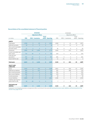|                                                   | 9/30/2021<br>9/30/2020 |                |                           |                |                  |                |                   |                    |                 |             |
|---------------------------------------------------|------------------------|----------------|---------------------------|----------------|------------------|----------------|-------------------|--------------------|-----------------|-------------|
|                                                   |                        |                | <b>Adjustment effects</b> |                |                  |                |                   | Adjustment effects |                 |             |
| in $\epsilon$ million                             | <b>IFRS</b>            |                | <b>IFRS 5 Inventories</b> | <b>Fixed</b>   | assets Operating | <b>IFRS</b>    | IFRS <sub>5</sub> | Inventories        | Fixed<br>assets | Operating   |
| <b>ASSETS</b>                                     |                        |                |                           |                |                  |                |                   |                    |                 |             |
| Fixed assets                                      | 1,958                  | 9              | $-20$                     | $-4$           | 1,943            | 1,904          | 3                 | $-11$              | $-25$           | 1,871       |
| Deferred tax assets                               | 18                     | $\overline{0}$ | $\overline{0}$            | $\overline{0}$ | 18               | 9              | $\overline{0}$    | 11                 | $\mathbf{0}$    | 20          |
| Non-current receivables<br>and other assets       | 37                     | $\mathbf{0}$   | $\Omega$                  | $\overline{0}$ | 37               | 36             | 0                 | $\mathbf{0}$       | $\mathbf{0}$    | 36          |
| Inventories                                       | 2,804                  | 62             | $-1,096$                  | $\Omega$       | 1,770            | 2,464          | 3                 | $-612$             | $\Omega$        | 1,855       |
| Current receivables and<br>other assets           | 716                    | 44             | $\overline{0}$            | $\overline{0}$ | 760              | 629            | 5                 | $\overline{0}$     | $\mathbf{0}$    | 634         |
| Cash and cash<br>equivalents                      | 942                    | 23             | $\overline{0}$            | $\Omega$       | 965              | 481            | $\Omega$          | $\Omega$           | $\Omega$        | 481         |
| Assets held for sale                              | 138                    | $-138$         | $\overline{0}$            | $\overline{0}$ | $\overline{0}$   | 11             | $-11$             | $\mathbf 0$        | $\mathbf{O}$    | $\mathbf 0$ |
| <b>Total assets</b>                               | 6,613                  | $\bf{0}$       | $-1,116$                  | $-4$           | 5,493            | 5,534          | 0                 | $-612$             | $-25$           | 4,897       |
| <b>EQUITY AND</b><br><b>LIABILITIES</b>           |                        |                |                           |                |                  |                |                   |                    |                 |             |
| Equity                                            | 3,443                  | $\overline{0}$ | $-793$                    | $-2$           | 2,648            | 2,851          | $\Omega$          | $-426$             | $-22$           | 2,403       |
| Deferred tax liabilities                          | 443                    | $\mathbf{0}$   | $-323$                    | $-2$           | 118              | 302            | $\mathbf{1}$      | $-186$             | $-3$            | 114         |
| Non-current provisions                            | 291                    | $\overline{2}$ | $\overline{0}$            | $\Omega$       | 293              | 332            | $\Omega$          | $\Omega$           | $\Omega$        | 332         |
| Non-current liabilities                           | 503                    | $\mathbf{1}$   | $\overline{0}$            | $\Omega$       | 504              | 578            | $\Omega$          | $\Omega$           | $\Omega$        | 578         |
| Current provisions                                | 67                     | $\overline{2}$ | $\overline{0}$            | $\overline{0}$ | 69               | 78             | $\Omega$          | $\overline{0}$     | $\Omega$        | 78          |
| Current liabilities                               | 1,828                  | 33             | $\overline{0}$            | $\overline{0}$ | 1,861            | 1,386          | 6                 | $\Omega$           | $\Omega$        | 1,392       |
| Liabilities deriving from<br>assets held for sale | 38                     | $-38$          | $\overline{0}$            | $\Omega$       | $\overline{0}$   | $\overline{7}$ | $-7$              | $\mathbf 0$        | $\mathbf{0}$    | $\mathbf 0$ |
| <b>Total equity and</b><br><b>liabilities</b>     | 6,613                  | $\mathbf{0}$   | $-1,116$                  | $-4$           | 5,493            | 5,534          | 0                 | $-612$             | $-25$           | 4,897       |

#### <span id="page-23-0"></span>Reconciliation of the consolidated statement of financial position

[Explanations concerning the presentation and adjustment effects can be found in the section](#page-17-0) Q Financial performance, assets, liabilities, and financial position of the<br>Aurubis Group, pages 95-103.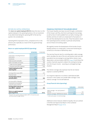#### RETURN ON CAPITAL (OPERATING)

The return on capital employed (ROCE) shows the return on the capital employed in the operating business or for an investment. It was determined taking the operating EBIT of the last four quarters into consideration.

Operating ROCE improved to 15.6%, compared to 9.3% in the previous year, especially as a result of the very good earnings performance.

#### Return on capital employed (ROCE) (operating)

| in $\epsilon$ million                  | 9/30/2021 | 9/30/2020      |
|----------------------------------------|-----------|----------------|
|                                        |           |                |
| Fixed assets, excluding financial      |           |                |
| fixed assets                           | 1,877     | 1,836          |
| Inventories                            | 1,770     | 1,855          |
| Trade accounts receivable              | 550       | 490            |
| Other receivables and assets           | 265       | 200            |
| - Trade accounts payable               | $-1.406$  | $-1,149$       |
| - Provisions and other liabilities     | $-642$    | $-500$         |
| Capital employed as at the             |           |                |
| reporting date                         | 2.415     | 2,731          |
|                                        |           |                |
| Earnings before taxes (EBT)            | 353       | 221            |
| Financial result                       | 13        | $\mathfrak{D}$ |
| <b>Earnings before interest</b>        |           |                |
| and taxes (EBIT)                       | 366       | 223            |
|                                        |           |                |
| Pro forma FBIT of Metallo <sup>1</sup> |           | 18             |
| Investments accounted for              |           |                |
| using the equity method                | 10        | 13             |
| <b>Earnings before interest and</b>    |           |                |
| taxes (EBIT) - adjusted                | 376       | 253            |
|                                        |           |                |
| Return on capital employed             |           |                |
| (operating ROCE)                       | 15.6%     | 9.3%           |

<sup>1</sup> Result for four months already included in EBIT in the previous year; pro forma result for eight months.

#### **FINANCIAL POSITION OF THE AURUBIS GROUP**

The Group's liquidity sourcing is secured through a combination of the Group's cash flow, short-term and long-term borrowings, as well as lines of credit available from our banks. Existing credit facilities and lines of credit can compensate for fluctuations in the cash flow development at any time. These fluctuations result from operating business activities in particular and primarily serve to finance net working capital.

We regularly monitor the development of the Aurubis Group's liquidity position on a timely basis. Control and monitoring are carried out on the basis of defined key ratios.

The main key financial ratio for controlling debt is debt coverage, which calculates the ratio of the net cash position (cash and cash equivalents less borrowings) to earnings before interest, taxes, depreciation, and amortization [\(EBITDA,](#page--1-0) Q page 215) and shows the number of periods required to redeem the existing borrowings from the Group's income – assuming an unchanged earnings situation.

The interest coverage ratio expresses how the net interest expense is covered by EBITDA.

Our long-term objective is to achieve a well-balanced debt structure. In this context, we consider debt coverage <3 and interest coverage >5 to be well balanced.

#### Group financial ratios (operating)

|                                                                  | 9/30/2021 | 9/30/2020 |
|------------------------------------------------------------------|-----------|-----------|
| Debt coverage = net cash position $\frac{1}{1}$<br><b>FBITDA</b> | $-0.7$    | በ ን       |
| Interest coverage = EBITDA/net interest                          | 38.0      | 314       |

 $<sup>1</sup>$  (-) Net cash surplus / (+) net borrowings</sup>

Additional control measures related to liquidity risks are outlined in th[e Risk and Opportunity Report in the Combined](#page-38-0)  Management Report Q pages 116-126.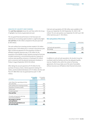#### ANALYSIS OF LIQUIDITY AND FUNDING

The cash flow statement shows the cash flows within the Group. It highlights how funds are generated and used.

The very good financial performance in the fiscal year and relatively low net working capital resulted in a significantly higher net cash flow of € 812 million compared to the prior-year level (€ 459 million).

The cash outflow from investing activities totaled  $\epsilon$  232 million (previous year: € 556 million) and, in contrast to the previous year, didn't include any payments for the acquisition of shares in affiliated companies (previous year: € 332 million for the acquisition of the Metallo Group). Payments during the fiscal year included investments in environmental protection measures to continue reducing diffuse emissions in Hamburg (€ 45 million) and in connection with the planned maintenance shutdown in Pirdop in August/September 2021 (€ 36 million).

After taking into account payments of  $\epsilon$  19 million for the purchase of treasury shares, interest payments totaling € 16 million, and the dividend distribution of € 57 million, the free cash flow of € 488 million was very good (previous year: € -208 million).

| in $\notin$ million                                          | 12 months<br>2020/21 | 12 months<br>2019/20 |
|--------------------------------------------------------------|----------------------|----------------------|
|                                                              |                      |                      |
| Cash inflow from operating activities<br>(net cash flow)     | 812                  | 459                  |
| Cash outflow from investing activities                       | $-232$               | $-556$               |
| Acquisition of treasury shares                               | $-19$                | $-39$                |
| Interest paid                                                | $-16$                | $-16$                |
| Dividend payment                                             | $-57$                | -56                  |
| <b>Free cash flow</b>                                        | 488                  | $-208$               |
| Proceeds and payments deriving<br>from financial liabilities | $-3$                 | 248                  |
| Net change in cash and<br>cash equivalents                   | 485                  | 40                   |
| Cash and cash equivalents as at<br>the reporting date        | 965                  | 481                  |

Cash and cash equivalents of € 965 million were available to the Group as at September 30, 2021 (September 30, 2020: € 481 million). The net cash position as at September 30, 2021 was € 383 million (previous year: € -102 million).

#### Net cash position of the Group

| in $\epsilon$ million     | 9/30/2021 | 9/30/2020 |
|---------------------------|-----------|-----------|
|                           |           |           |
| Cash and cash equivalents | 965       | 481       |
| <b>Borrowings</b>         | 582       | 583       |
| Net cash position         | 383       | $-102$    |

In addition to cash and cash equivalents, the Aurubis Group has unutilized credit line facilities and thus has adequate liquidity reserves. Parallel to this, within the context of factoring agreements, the Group makes use of the sale of receivables without recourse as an off-balance-sheet financial instrument.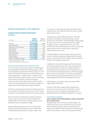## <span id="page-26-0"></span>Business performance in the segments

#### **SEGMENT METAL REFINING & PROCESSING** Key figures

| in $\notin$ million           | 2020/21<br>operating | 2019/20<br>operating <sup>1</sup> |
|-------------------------------|----------------------|-----------------------------------|
|                               |                      |                                   |
| Revenues                      | 15,079               | 11,488                            |
| Operating EBITDA              | 588                  | 461                               |
| Depreciation and amortization | $-180$               | $-170$                            |
| <b>Operating EBIT</b>         | 409                  | 291                               |
| Operating EBT                 | 399                  | 285                               |
| Capital expenditure           | 227                  | 202                               |
| Operating ROCE                | 18.9%                | 12.6%                             |
| Capital employed              | 2,151                | 2,438                             |
| Number of employees (average) | 5,237                | 4,935                             |

1 Metallo included for four months.

Certain prior-year figures have been adjusted.

#### BUSINESS PERFORMANCE AND EARNINGS TREND

The main factors driving earnings in Segment Metal Refining & Processing (MRP) are treatment and refining charges (TC/RCs) that are negotiated as deductions from the purchase price of the metals for converting raw materials and recycling materials into the exchange product – copper cathodes – and other metals. Additional earnings components include revenues from precious metal and sulfuric acid sales, as well as the metal gain. Furthermore, the Aurubis copper premium and the so-called product surcharge charged for processing copper cathodes into copper products are also significant earnings components.

The Beerse and Berango sites of the former Metallo Group have been included in the Aurubis Group since June 1, 2020. The prioryear figures thus only partially include the new Group companies.

Business activities connected with our long-term electricity supply contract for our German sites were bundled within Segment MRP for the first time in the reporting period. Prioryear figures have been adjusted accordingly.

Segment MRP generated total revenues of € 15,079 million during the reporting period (previous year: € 11,488 million). This development was primarily due to higher copper prices in comparison to the previous year. Significantly higher sales of copper products, with a high price level at the same time, had a positive impact as well.

Operating EBT for Segment MRP amounted to € 399 million during the reporting period, up significantly year-over-year (previous year: € 285 million). Substantially higher refining charges for copper scrap and other recycling materials with a higher throughput of other recycling materials, due in part to the inclusion of the Beerse and Berango sites, as well as a significantly higher metal result with a strong increase in metal prices, positively influenced the result.

Considerably higher sulfuric acid revenues thanks to a strong increase in sales prices, significantly higher demand for copper products, and contributions from the Performance Improvement Program (PIP) increased earnings as well.

A slightly lower concentrate throughput with lower treatment and refining charges for copper concentrates compared to the previous year, driven by market factors, negatively affected operating EBT. Planned shutdowns in the Group influenced the result in both the reporting period (about € -36 million operating EBT) and the previous year (about  $\epsilon$  -50 million operating EBT). Delays in the ramp-up after the planned shutdown at our site in Pirdop (Bulgaria) in Q4 2020/21 also weighed on the result.

High energy costs, especially for electricity and gas, likewise negatively affected the result.

Overall, at € 399 million, Segment MRP's operating result was 40% above the prior-year level (€ 285 million). At 18.9% (previous year: 12.6%), the segment's operating ROCE also developed positively, considerably exceeding the 15.0% target.

#### RAW MATERIAL MARKETS

#### Lower treatment and refining charges for copper concentrates due to market factors

The global copper concentrate market indicated higher mine output in 2021 year-over-year. Compared to the previous year, there were fewer production losses, particularly because of reduced losses related to COVID-19. Expansions of existing mines and new mine projects in Chile and Peru positively influenced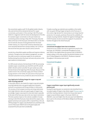the concentrate supply as well. On the global smelter industry side, planned downtimes dampened demand for copper concentrates, particularly in China starting in Q3 of fiscal year 2020/21. In alignment with this trend, the development of TC/RCs for standard copper concentrates on the spot market was consistently positive starting in May 2021. Previously, they had fallen at the start of the fiscal year until March 2021, to US\$ 30/t and 3.0 cents/lb, because of strong demand from the Asian smelter industry. As a result of the numerous downtimes and more restrained demand from Chinese smelters, the TC/RCs at the end of the fiscal year were US\$ 62/t and 6.2 cents/lb.

Aurubis has a diversified supplier portfolio and long-term delivery contracts. Through active raw material management, we were thus able to secure a continuous supply for our production facilities during the entire fiscal year and were only active on the spot market to a limited extent.

For 2021 annual contracts, the benchmark TC/RC for processing standard copper concentrates was US\$ 59.5/t and 5.95 cents/lb (2020: US\$ 62/t and 6.2 cents/lb). The spot market was under the benchmark at the beginning of the fiscal year. Because of the positive trend in the concentrate supply and Chinese smelters' buying restraint on the market, the spot prices at fiscal year-end indicated substantial recovery tendencies above the benchmark.

#### Very high level of refining charges for copper scrap and other recycling materials

In fiscal year 2020/21, the market for copper scrap and complex recycling materials had a very good supply due to dynamic economic circumstances and strong increases in metal prices. The recovery of the European economy and rising metal prices led to high collection rates and a good supply of copper scrap accordingly. Copper scrap exports to Asia were lower, especially at the start of the fiscal year, due to the new import restrictions. This had a positive impact on the volumes available in Europe. Starting in Q4 of the fiscal year, Asian demand for copper scrap gained momentum and caused a shift in material flows. All in all, refining charges for copper scrap developed very positively in the course of fiscal year 2020/21 due to the good supply and surpassed the prior-year level considerably.

Complex recycling raw materials were available on the market with very good refining charges during the entire fiscal year. In this context, high demand for metal products and rising industrial production, for example, positively influenced the availability of complex recycling materials. Despite the logistical challenges that COVID-19 posed, Aurubis secured the supply for its production facilities throughout the whole fiscal year.

#### PRODUCTION

#### Concentrate throughput lower due to shutdown

Production at our smelter sites was at a good level overall in the fiscal year. At 2,250,000 t, concentrate throughput for fiscal year 2020/21 was slightly below the previous year (2,378,000 t) owing to delays in the ramp-up after the planned shutdown at our site in Pirdop (Bulgaria) in Q4 2020/21. Shutdowns impacted throughput in the previous year as well.

#### Concentrate throughput



#### Copper scrap/blister copper input significantly exceeds previous year

During the reporting year, our production sites benefited from a very good supply of copper scrap[, blister copper](#page--1-0) Q Glossary, page 212, and other recycling materials. Overall, the Group-wide input of copper scrap and blister copper in fiscal year 2020/21, at 436,000 t, was much higher than the prior-year level (368,000 t), due in part to the inclusion of the Beerse (Belgium) and Berango (Spain) sites.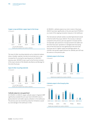



The input of other recycling materials such as industrial residues, slimes, shredder materials, and electrical and electronic scrap increased by 41% during the reporting period, to 566,000 t (previous year: 401,000 t), due in part to the first-time inclusion of the input volumes of the Metallo sites Beerse and Berango for the entire fiscal year.



#### Cathode output at a very good level

At 1,113,000 t in 2020/21, copper cathode output in Segment MRP significantly exceeded the prior-year level (1,031,000 t) due to good production and stable capacity utilization in the tankhouses. The previous year was strained by production limitations caused by crane damage in the tankhouse in Olen.

At 149,000 t, cathode output at our site in Lünen in fiscal year 2020/21 was down significantly on the prior-year level (173,000 t) as a result of the ongoing renovation measures in the tankhouse.

The international cathode markets recorded high demand overall in the first half of fiscal year 2020/21. The recovery in demand compared to the previous year was apparent in Europe and the US especially. Spot premiums in Europe proved to be stable over the entire fiscal year. Quotations in Shanghai were low during most of the fiscal year but rose significantly at the end of the fiscal year due to a tighter supply and arbitrage options. At US\$ 96/t, the Aurubis copper premium for calendar year 2021 was the same as in the previous year.

#### Cathode output in the Group

in thousand t





in thousand t

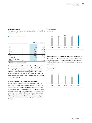#### Metal sales volumes

The sales volumes of the metals Aurubis produces were as follows in fiscal year 2020/21:

#### Sales volumes of other metals

|                                 |    | 2020/21 | 2019/201 |
|---------------------------------|----|---------|----------|
|                                 |    |         |          |
| Gold                            |    | 51      | 47       |
| Silver                          |    | 949     | 972      |
| Lead                            |    | 40,717  | 28,014   |
| Nickel                          |    | 3,900   | 3,395    |
| Tin                             | t  | 10,043  | 4,213    |
| Zinc                            |    | 8,809   | 3,565    |
| Minor metals                    |    | 977     | 807      |
| Platinum group metals<br>(PGMs) | kg | 8,722   | 8,935    |

1 Metallo sites included for four months.

The recovery of our metals depends on the metal contents in the processed copper concentrates and recycling materials. Lower concentrate throughputs therefore impact the volumes of the different metals that are recovered. A portion of the metals is sold as intermediate products. The inclusion of the Beerse and Berango sites led to higher metal sales volumes, especially for tin, zinc, nickel, and lead.

#### Wire rod output at a very high level due to demand

Continuous cast wire rod is used as a preliminary product for processing, especially in the cable and wire industry, as well as for special semifinished products. Demand for wire rod developed very positively in all customer segments in light of the economic rebound. The recovery in demand that took hold in Q4 2019/20 continued in the first half of 2020/21 and remained at a stable, high level in the second half-year. Demand from the energy sector and construction industry remained very high over the entire fiscal year.

#### Wire rod output

in thousand t



#### Notable increase in shapes output compared to previous year

Demand for high-purity shapes recovered considerably year-overyear. The order situation was at a stable, high level throughout the fiscal year, due in large part to high demand from the flat rolled products sector.

#### Shapes output

in thousand t

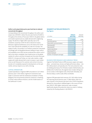#### Sulfuric acid output below prior-year level due to reduced concentrate throughput

Corresponding to the concentrate throughput, the sulfuric acid output was 2,107,000 t, below the prior-year level (2,272,000 t). Throughout the entirety of fiscal year 2020/21, the global sulfuric acid market experienced very stable demand with a tightening supply. The decline in flight traffic especially, due to the shutdowns caused by COVID-19, led to reduced oil output. Moreover, logistical bottlenecks such as the obstruction of the Suez Canal reduced the availability of crude oil in Europe. The supply of sulfur, a by-product in oil refinery production, decreased accordingly with strong global demand, leading to lower sulfuric acid availability since sulfur burners produced less sulfuric acid or had to shut down completely. Spot market prices on the global markets for sulfuric acid thus increased over the entire fiscal year 2020/21. In Europe and Turkey, our main sales markets, a tight supply with stable demand led to stark increases in spot market prices as well. Because of its customer and contract structure, Aurubis isn't completely exposed to developments on the spot market, and any impacts occur with a time lag.

#### CAPITAL EXPENDITURE

Capital expenditure in Segment MRP amounted to € 227 million (previous year: € 202 million). Significant investments were made in connection with the maintenance shutdown in Pirdop (Bulgaria), the environmental protection measures in Hamburg to further reduce diffuse emissions, and the modernization of the tankhouse in Lünen.

#### **SEGMENT FLAT ROLLED PRODUCTS** Key figures

| in $\notin$ million           | 2020/21<br>operating | 2019/20<br>operating |
|-------------------------------|----------------------|----------------------|
|                               |                      |                      |
| Revenues                      | 1,432                | 1,086                |
| <b>Operating EBITDA</b>       | 23                   | 15                   |
| Depreciation and amortization | $-16$                | $-19$                |
| <b>Operating EBIT</b>         | 7                    | $-3$                 |
| <b>Operating EBT</b>          | 13                   | 1                    |
| Capital expenditure           | 15                   | 18                   |
| Operating ROCE                | 6.6%                 | 3.0%                 |
| Capital employed              | 289                  | 316                  |
| Number of employees (average) | 1.615                | 1.632                |

#### BUSINESS PERFORMANCE AND EARNINGS TREND

Segment Flat Rolled Products (FRP) processes copper and copper alloys – primarily brass, bronze, and high-performance alloys – into flat rolled products and specialty wire. The main production sites are Stolberg (Germany), Pori (Finland), Zutphen (Netherlands), and Buffalo (US). Furthermore, the segment also includes slitting and service centers in Birmingham (UK), Dolný Kubín (Slovakia), and Mortara (Italy), as well as sales offices worldwide.

Segment FRP generated total revenues of € 1,432 million during the reporting period (previous year: € 1,086 million). After low sales volumes in the previous year due to the COVID-19 pandemic, demand for strip products stabilized again in the course of fiscal year 2020/21. With higher metal prices, sales increased significantly despite the production stop at our plant in Stolberg caused by the flooding disaster in Q4 2020/21.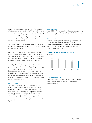Segment FRP generated operating earnings before taxes (EBT) of € 13 million (previous year: € 1 million). This notably improved result compared to the previous year was based on the recovery of demand for strip products and the continued implementation of our strict cost management. Negative effects from rebuilding costs for our plant in Stolberg following the flooding disaster are offset by insurance payments.

At 6.6%, operating ROCE (taking the operating EBIT of the last four quarters into consideration) improved considerably compared to the previous year (3.0%).

On July 14, 2021, production at Aurubis Stolberg GmbH had to be stopped due to severe weather impacts. As a result, Aurubis Stolberg GmbH & Co. KG had to declare force majeure on July 16, 2021. After extensive clean-up and repair work, we restarted production at Aurubis Stolberg again in early November.

On August 9, 2021, Aurubis announced the signing of a term sheet with Intek Group S.p.A., Italy, regarding a partial sale of Segment Flat Rolled Products. Aurubis AG intends to sell the FRP plant in Zutphen (Netherlands) as well as the slitting centers in Birmingham (United Kingdom), Dolný Kubín (Slovakia), and Mortara (Italy) with a total of about 360 employees. The sale is subject to approval by the responsible antitrust authorities. The plants in Stolberg (Germany), Pori (Finland), and Buffalo (US) will remain in the Aurubis Group.

#### PRODUCT MARKETS

The market for flat rolled products improved compared to the previous year, which had been negatively influenced by the COVID-19 pandemic. Demand for strip products exceeded capacities and couldn't be completely fulfilled in Q4 2020/21 due to the production stop in Stolberg following the flooding disaster. All segments, particularly the automotive sector, developed positively. Submarine cable, material for power electronics, connectors, and cooling systems were in especially high demand.

#### RAW MATERIALS

The availability of input materials and the corresponding refining charges were very high during fiscal year 2020/21. The conditions improved significantly year-over-year.

#### PRODUCTION

Output of flat rolled products and specialty wire increased to 191,000 t due to demand (previous year: 178,000 t). Q4 2020/21 was affected by the production stop in Stolberg following the flooding disaster. All of the sites implemented programs to increase the output quantity.





#### CAPITAL EXPENDITURE

Capital expenditure in Segment FRP amounted to € 15 million (previous year: € 18 million). This was primarily used for replacement investments.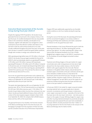# <span id="page-32-0"></span>Executive Board assessment of the Aurubis Group during fiscal year 2020/21

Despite the ongoing COVID-19 pandemic, the Aurubis Group generated the best annual result in the company's history in the past fiscal year. An excellent development that was only possible thanks to the commitment, flexibility, and discipline of our employees, together with dedicated crisis management, which continued to ensure that infection numbers were kept at a very low level so that we could continue production at our sites virtually unaffected throughout the entire fiscal year. At the same time, we were in a position to profit from good market conditions, though stark increases in energy costs strained the result.

With operating earnings before taxes of € 353 million in fiscal year 2020/21, the Aurubis Group yet again exceeded the forecast for 2020/21, which we had already raised to an operating EBT between € 270 million and € 330 million in January 2021 (previously: operating EBT between € 210 million and € 270 million). Compared to the previous year, we increased operating earnings before taxes by € 132 million. At the end of the reporting year, operating ROCE reached 15.6% (previous year: 9.3%) and was thus above our target and the forecast interval of 9% to 12%.

Due to the very good financial performance and a relatively low net working capital at year-end, operating net cash flow was € 812 million as at September 30, 2021 (previous year: € 459 million), significantly above the prior-year cash flow.

The equity ratio (operating) was 48.2% as at September 30, 2021 (previous year: 49.1%). The net financial position as at September 30, 2021 was € 383 million (previous year: € -102 million). The Aurubis Group's balance sheet structure thus continues to be very robust. Aurubis purchased additional treasury shares within the context of the share buyback program initiated in March 2020. As at September 30, 2020, the company held 1,297,693 treasury shares and thus 2.89% of the issued shares.

The good performance of our facilities, the first-time inclusion of the Beerse and Berango sites for the entire fiscal year, the leveraging of synergies from the acquisition of these two sites, and the consistent execution of our Performance Improvement

Program (PIP) were additionally supported by very favorable market conditions on all of our markets during the reporting period.

During the course of the fiscal year, the operating performance and the concentrate throughput in our primary smelters in Hamburg and Pirdop were satisfactory and made a substantial contribution to the very good fiscal year result.

Planned shutdowns in the Group influenced the result in both the reporting period (about € -36 million operating EBT) and the previous year (about € -50 million operating EBT). Delays in the ramp-up after the planned shutdown at our site in Pirdop (Bulgaria) had a negative impact in Q4 2020/21. Investment costs for this shutdown at Aurubis Bulgaria amounted to about € 45 million.

Treatment and refining charges on the spot markets for copper concentrates were under strong pressure at times due to high demand from the Asian smelter industry in the first half of 2020/21, with a good supply from the mine side. Planned shutdowns in the global smelter industry reduced demand for standard copper concentrates as the year continued, and the spot prices indicated a notable recovery to a level above the benchmark until the end of the fiscal year. Through our diversified supplier portfolio, long-term supply contracts, and active raw material management, we were able to secure the supply for our production facilities during the entire fiscal year and were only active on the spot market to a limited extent.

In fiscal year 2020/21, the market for copper scrap and complex recycling materials had a very good supply due to dynamic economic circumstances and strong increases in metal prices. Lower copper scrap exports to Asia – especially at the start of the fiscal year due to the new import restrictions – also had a positive impact on the supply in Europe. Refining charges for copper scrap and other recycling materials developed very positively during the past fiscal year and surpassed the prior-year level considerably. In fiscal year 2020/21, Aurubis processed more than 1 million t of recycling materials for the first time thanks to the inclusion of the Beerse and Berango sites for twelve months.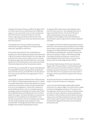Throughout the entirety of fiscal year 2020/21, the global sulfuric acid market experienced very stable demand with a tightening supply. As a result, spot market prices increased constantly over the entire fiscal year. In Europe and Turkey, our main sales markets, a tight supply with stable demand also led to stark increases in spot market prices, which were well above prior-year level at fiscal year-end.

The operating result in fiscal year 2020/21 was positively influenced by a very good metal gain with strong increases in metal prices, especially for nickel and tin.

On the product side, demand for wire rod developed very positively in all customer segments compared to the previous year in light of the economic rebound. Demand from the energy sector and construction industry were very high in particular. Demand for high-purity shapes also recovered notably, due in part to high demand from the flat rolled products sector, which was primarily influenced by higher demand from the automotive industry.

At € 399 million, the operating EBT for Segment Metal Refining & Processing (MRP) during the reporting period was significantly above that of the previous year ( $\epsilon$  285 million). The description of the Group business performance also largely applies to that of Segment MRP.

Operating EBT for Segment Flat Rolled Products (FRP) amounted to € 13 million for the reporting period (previous year: € 1 million). This notable improvement in the result was based on the recovery of demand for strip products and the continued implementation of our strict cost management. In mid-July 2021, production at Aurubis Stolberg GmbH & Co. KG was so strongly impacted by the damage caused by the flooding in the German state of North Rhine-Westphalia that Aurubis Stolberg GmbH & Co. KG had to declare force majeure. This meant that delivery to customers and acceptance of incoming deliveries was impossible for a time. The plant was evacuated in time and no employees were injured. The site was able to gradually restart production in early November 2021. The damage (operational failure and property damage) is fully covered by the appropriate insurance.

On August 9, 2021, Aurubis announced the signing of a term sheet with Intek Group S.p.A., Italy, regarding a partial sale of Segment Flat Rolled Products. The sale of the FRP plant in Zutphen (Netherlands) as well as the slitting centers in Birmingham (United Kingdom), Dolný Kubín (Slovakia), and Mortara (Italy) is subject to approval by the relevant competition authorities.

The integration of the former Metallo Group has gone extremely well thus far, which means by fiscal year 2020/21, we were already able to achieve our goal (originally set for 2022/23) of generating synergies of € 15 million (EBITDA) from the integration of the acquired Beerse and Berango sites. In July 2021, we announced that we are investing € 27 million in ASPA (Advanced Sludge Processing by Aurubis) at the Beerse site, a state-of-the-art hydrometallurgical facility that will allow us to process more precious metal-rich anode sludge starting in 2024/25.

We continued implementing our Performance Improvement Program (PIP) in fiscal year 2020/21. It contributed about € 80 million to the result and is therefore well above our goal. We anticipate a permanent improvement in results amounting to at least € 100 million from cost reduction and an improvement in throughput until fiscal year 2022/23 compared to the reference year 2018/19.

During the past fiscal year, we initiated important sustainability projects, in particular to achieve our climate goals:

In June, the Science Based Targets Initiative (SBTi) validated Aurubis AG's CO<sub>2</sub> reduction targets. This confirms that our targets contribute to limiting global warming to 1.5°C pursuant to the Paris Agreement. We have set out to reduce our absolute Scope 1 and Scope 2 emissions, meaning CO<sub>2</sub> emissions generated by burning fuels in internal facilities and those related to purchased energy, by 50% until 2030 compared to the base year 2018. We want to reduce Scope 3 emissions, which arise in the upstream and downstream stages of the value chain, by 24% during the same period as well.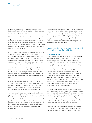<span id="page-34-0"></span>In late 2019, Aurubis joined the UN Global Compact initiative Business Ambition for 1.5°C, which requires the Group to develop science-based CO<sub>2</sub> reduction targets.

We have already substantially reduced the carbon footprint of our copper cathodes with the measures implemented over the past several years: the life cycle assessment for the Aurubis copper cathode has now been updated, and the latest calculations show that 1,690 kg of CO<sub>2</sub> per ton of copper are emitted over the entire life cycle of the cathode. This is a reduction of approximately 25% compared to the figures from 2013.

In May, a series of tests started for hydrogen use on an industrial scale in copper anode production at the Hamburg plant. In the medium term, hydrogen could replace fossil fuels in the production process. Due to hydrogen's chemical properties, Aurubis expects enhanced efficiency as well. With this project, Aurubis won the Responsible Care competition of the German Chemical Industry Association (VCI) in 2021.

An additional milestone was achieved by Aurubis Bulgaria in June 2021 with the construction kick-off of a 10 MW solar plant near the site. This will be the country's largest solar plant for internal electricity production in a company. The Pirdop site's goal is to cover 20% of its energy needs from its own renewable sources by 2030.

After Aurubis Bulgaria received the Copper Mark in April 2021 – the copper industry's quality seal for responsible copper production – Aurubis Hamburg and Aurubis Lünen likewise committed in late June 2021 to undergoing the evaluation process. Preparations for the audit are already underway.

Our progress in all areas of sustainability is confirmed by rating agencies. In August 2021, the independent sustainability agency EcoVadis awarded Aurubis Platinum status for the first time. Aurubis thus belongs to the best one percent of companies in the global non-ferrous metals industry. In 2020, Aurubis successfully placed a Schuldschein loan with a sustainability component – the first European company in the basic materials industry to do so – for € 400 million. The conditions of the loan are tied to the EcoVadis rating.

The past fiscal year showed that Aurubis is in a very good position – from both a financial and an operational perspective. The best conditions for implementing our updated strategy. By focusing the core business and pursuing growth options, we highlight key aspects of the Group's future success. The recycling business is going to be an even stronger emphasis of our activities than before. This direction demonstrates that profitable growth and sustainability go hand in hand at Aurubis.

# Financial performance, assets, liabilities, and financial position of Aurubis AG

#### **GENERAL INFORMATION**

In order to supplement our Aurubis Group reporting, we explain Aurubis AG's development in the following section. Aurubis AG is the parent company of the Aurubis Group and is based in Hamburg, with production sites in Hamburg and Lünen. Apart from managing the Aurubis Group, the business activities of Aurubis AG also particularly include primary copper production and recycling, as well as copper product and precious metal production. The separate financial statements of Aurubis AG have been prepared in accordance with the requirements of the German Commercial Code (Handelsgesetzbuch, HGB) and the German Stock Corporation Act (Aktiengesetz, AktG). The significant differences from the Group financial statements prepared in accordance with IFRS principles are in the accounting treatment of fixed assets, the measurement of inventories, the measurement of financial instruments, as well as in the accounting treatment of pension provisions.

The Aurubis Group is managed across all companies at Group level through segments, using operating EBT and operating ROCE as the financial performance indicators. These indicators are also used for Aurubis AG's operating activities, which are a significant component of the Group. To this extent, the development of and forecasts for the financial performance indicators at the segment and Group levels at the same time represent the development and forecast for Aurubis AG as an individual company.

The analysis of the development for the financial performance indicators outlined above during the fiscal year and the related forecasts for the following year are provided in the Economic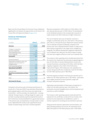Report and the Forecast Report for the entire Group. Statements regarding the risk situation and opportunities can be found in the [Group's Risk and Opportunity Report](#page-38-0) Q pages 116-126.

#### **FINANCIAL PERFORMANCE** Income statement

| in $\notin$ million                                        | 2020/21   | 2019/20  |
|------------------------------------------------------------|-----------|----------|
| <b>Revenues</b>                                            | 11,612    | 9,005    |
| Changes in inventories/<br>own work capitalized            | 40        | 24       |
| Other operating income                                     | 124       | 50       |
| Cost of materials                                          | $-11,129$ | $-8,481$ |
| <b>Gross profit</b>                                        | 647       | 598      |
| Personnel expenses<br>Depreciation of property, plant, and | $-297$    | $-282$   |
| equipment and amortization of<br>intangible assets         | $-66$     | $-60$    |
| Other operating expenses                                   | $-155$    | $-148$   |
| <b>Operational result (EBIT)</b>                           | 129       | 108      |
| Financial result                                           | 135       | 105      |
| <b>Result from normal business activities</b><br>(EBT)     | 264       | 213      |
| Taxes                                                      | $-33$     | -36      |
| Net income for the year                                    | 231       | 177      |

Compared to the previous year, the business performance of Aurubis AG in fiscal year 2020/21 was positively influenced by a good ongoing supply on both the primary raw material side – concentrates – and the secondary raw material side – recycling materials. Strong increases in refining charges for copper scrap and other recycling materials positively impacted the result as well. Furthermore, Aurubis benefited from a good metal result as in the previous year, accompanied by a strong increase in metal prices. High demand for products also supported the result. Sharply increased energy costs had a counteracting effect.

Revenues increased by € 2,607 million to € 11,612 million in the year reported (previous year: € 9,005 million). This development can be attributed primarily to the increased sales revenues for copper products and other metals due to higher metal prices.

The cost of materials ratio (cost of materials / (revenues + changes in inventories)) rose by 1.6%, from 93.9% in the previous year to 95.5% in the past fiscal year. While both revenues and the costs of materials increased considerably compared to the previous year, due to disproportionate increases in copper prices, other revenue components in the copper sector changed only marginally. This different development negatively impacted the cost of materials ratio. Moreover, the sharp increase in energy costs also had a negative influence on the cost of materials ratio.

The increase in other operating income resulted particularly from the reversal of an impairment loss previously recognized against a loan of € 60 million to Aurubis Netherlands BV, as well as the reversal of provisions, amounting to €14 million, which had been originally recognized in the context of the Performance Improvement Program. After taking own work capitalized into account, the gross profit thus increased by a total of  $\epsilon$  49 million to € 647 million (previous year: € 598 million).

Personnel expenses increased in the fiscal year reported, by € 15 million to € 297 million (previous year: € 282 million) – particularly due to higher provisions for bonus payments, wage tariff increases, and pension expenses.

Depreciation and amortization of fixed assets increased by  $\epsilon$  6 million to € 66 million (previous year: € 60 million). This particularly concerned intangible assets, technical equipment and machinery, as well as buildings.

The increase in other operating expenses mainly derived from expenses for CO<sub>2</sub> certificates, as well as from an increase in the provision for the renaturation of a landfill site in Lünen. In contrast, expenses for consulting services declined in particular.

Taking personnel expenses, depreciation and amortization, and other operating expenses into account, the operational result (EBIT) amounted to € 129 million (previous year:  $€$  108 million).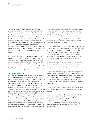The financial result for the year reported was  $\epsilon$  135 million (previous year:  $\epsilon$  105 million). In addition to dividends of  $\epsilon$  137 million from subsidiaries (previous year: € 130 million), this item includes write-ups of the carrying amount of the investments in Deutsche Giessdraht GmbH, amounting to € 3 million, in Aurubis Italia Sr., amounting to € 4 million, and in Peute Baustoff GmbH, amounting to € 1 million; it also includes write-downs of the carrying amount of the investments in azeti GmbH, amounting to € 6 million, and America Holding Inc., amounting to  $€$  2 million, as well as the net interest result of € -14 million (previous year: € -10 million) and write-ups of securities classified as fixed assets at the reporting date, amounting to € 12 million (previous year: € -2 million).

After taking a tax expense of € 33 million (previous year: € 36 million) into account, the net income for the year amounted to € 231 million (previous year: € 177 million). The reduction in the tax expense despite higher earnings before taxes is mainly due to the difference between the profit disclosed in the financial statements prepared for commercial law purposes and the profit for tax-based purposes, due mainly to differences in the amounts recognized for provisions and receivables.

#### **ASSETS AND LIABILITIES**

Fixed assets increased in the fiscal year by  $\epsilon$  54 million to a level of € 2,489 million (previous year: € 2,435 million). Additions to intangible assets and property, plant, and equipment amounted to € 113 million in the year reported. They primarily include investments in the renovation of the tankhouse in Lünen, the ridge turret suctioning equipment for the primary smelter in Hamburg, and investments made in connection with the shutdown of primary copper production in Hamburg. In fiscal year 2020/21, Aurubis AG – together with TSR Recycling GmbH & Co. KG and Cablo Metall-Recycling GmbH – founded Cablo GmbH under the terms of a joint venture agreement. The objective is to leverage synergy potential in the value chain for used cable recycling. Aurubis holds a 40% share interest in Cablo GmbH. In this context, the assets of Cablo Metall-Recycling & Handel GmbH were transferred to Cablo GmbH as part of an asset deal during the fiscal year reported. An investment of € 3 million was made to provide capital for the company. Furthermore, increases

in capital were provided for azeti GmbH ( $\epsilon$  9 million) and America Holding Inc. ( $\epsilon$  2 million), which in the case of azeti was written down by € 6 million and in the case of America Holding Inc. by € 2 million as at the fiscal year-end. The impairment test of the financial assets also resulted in the recognition of write-ups on the investment carrying amounts of Deutsche Giessdraht GmbH (€ 3 million), Aurubis Italia Srl (€ 4 million), and Peute Baustoff GmbH Inc. (approximately  $\in$  1 million).

Inventories increased by € 84 million in the fiscal year reported, to a level of € 950 million (previous year: € 866 million). The increase results primarily from a € 56 million build-up in raw materials and a € 10 million build-up in work in process. The higher value for the inventory of raw materials is due in particular to the build-up of copper-bearing and precious metal-bearing concentrates at the Hamburg site to secure the supply for production purposes.

Trade accounts receivable decreased by  $\epsilon$  5 million compared to the previous year. Whereas receivables in precious metals decreased as at the period end date, receivables in copper products increased due to metal price developments.

Overall, total assets increased by € 690 million, as compared to the previous year, to a level of  $\epsilon$  5,117 million (previous year: € 4,427 million). As a consequence, the comparative share of total assets that is attributable to fixed assets was 49% (previous year: 55%), while inventories accounted for 19% (previous year: 20%) and receivables and other assets accounted for 15% of total assets (previous year: 15%).

The share of total assets attributable to cash and cash equivalents increased from 10% in the previous year to 17% in the fiscal year reported.

Equity amounted to € 1,800 million as at September 30, 2021 (previous year: € 1,645 million). The change in equity is due on the one hand to the net income of € 231 million for the fiscal year reported and on the other hand to the distribution of € 57 million in dividends, as well as the purchase of treasury shares in the amount of  $\epsilon$  19 million. The equity ratio is 35% (previous year: 37%).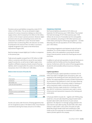Provisions and accrued liabilities increased by a total of  $\epsilon$  74 million, to € 410 million. This can be attributed to higher provisions for onerous transactions relating to an electricity supply contract, which increased by  $\epsilon$  62 million to  $\epsilon$  82 million, as well as to the increase in pension provisions. Moreover, higher provisions were set up for outstanding invoices and for the renaturation of a landfill site in Lünen. Personnel-related provisions had a counteracting effect; the reduction can mainly be attributed to the reversal of the € 14 million in provisions originally recognized in the context of the Performance Improvement Program (PIP).

Bank borrowings increased slightly by € 9 million in comparison to the previous year.

Trade accounts payable increased from € 597 million to € 888 million in connection with efforts to secure the raw material supply for production, as well as due to higher copper prices. Payables to affiliated companies primarily comprise financing liabilities, which increased within the context of normal financial transactions, from € 1,172 million to € 1,328 million.

#### Balance sheet structure of Aurubis AG

| in %                               | 9/30/2021 | 9/30/2020 |
|------------------------------------|-----------|-----------|
|                                    |           |           |
| Fixed assets                       | 49        | 55        |
| Inventories                        | 19        | 20        |
| Receivables, etc.                  | 15        | 15        |
| Cash and cash equivalents          | 17        | 10        |
|                                    |           |           |
|                                    | 100       | 100       |
| Equity                             | 35        | 37        |
| Provisions and accrued liabilities | 8         | 8         |
| Liabilities                        | 57        | 55        |
|                                    |           |           |
|                                    | 100       | 100       |

Aurubis uses assets under the terms of leasing agreements that are not recognized as assets in the balance sheet. Future financial commitments deriving from leases amount to € 10 million.

#### **FINANCIAL POSITION**

Net financial liabilities amounted to € 547 million as at September 30, 2021 (previous year: € 909 million). They resulted from bank borrowings of € 527 million (previous year: € 518 million), the net amount of receivables due from and payables due to subsidiaries, amounting to € 941 million (previous year: € 844 million), deriving from refinancing arrangements – and after deducting cash and cash equivalents of € 921 million (previous year: € 453 million).

Cash pooling arrangements exist between Aurubis AG and its subsidiaries. For a further analysis of Aurubis AG's liquidity situation, refer to the explanations concerning the Aurubis Group's financial position. Aurubis AG's financing was secured at all times.

In addition to cash and cash equivalents, Aurubis AG had access to unutilized credit line facilities and thus has adequate liquidity reserves. Furthermore, within the context of factoring agreements, Aurubis AG sold receivables without recourse as a financing instrument.

#### Capital expenditure

In the past fiscal year, capital expenditure investment of  $\epsilon$  113 million was made in intangible assets and property, plant, and equipment at the Hamburg and Lünen sites (previous year: € 92 million). The capital expenditure primarily included investments in the renovation of the tankhouse in Lünen, the project Reducing Diffuse Emissions (RDE) in the primary smelter in Hamburg, as well as investments made in connection with the planned shutdown of primary copper production in Hamburg in fiscal year 2021/22. Furthermore, investments were made in various infrastructure and improvement measures at the Hamburg and Lünen plants.

In fiscal year 2020/21, Aurubis AG – together with TSR Recycling GmbH & Co. KG and Cablo Metall-Recycling & Handel GmbH – founded Cablo GmbH under the terms of a joint venture agreement. The objective is to leverage synergy potential in the value chain for used cable recycling. Aurubis holds a 40% share interest in Cablo GmbH. In this context, the assets of Cablo Metall-Recycling & Handel GmbH were transferred to Cablo GmbH as part of an asset deal. An investment of € 3 million was made to provide capital for the company.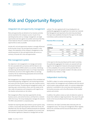# <span id="page-38-0"></span>Risk and Opportunity Report

# Integrated risk and opportunity management

Risks and opportunities are elements of our business activities and are essential to the company's success. As part of our operating business and our strategic management, we weigh opportunities and risks against one another and ensure that they remain balanced. We aim to identify and evaluate risks and opportunities as early as possible.

Aurubis AG's risk and opportunity situation is strongly influenced by the Aurubis Group's risk and opportunity situation. In this respect, the statements of the company's management on the overall assessment of risks and opportunities also serve as a summary of Aurubis AG's risks and opportunities.

### Risk management system

Our objective in risk management is to manage and monitor the risks associated with our business with the help of a risk management system (RMS) suited to our activities. Identifying and observing risk development early on is of major importance. Furthermore, we strive to limit negative effects on earnings caused by risks by implementing appropriate and economically sound countermeasures.

Risk management is an integral component of the centralized and decentralized planning, management, and monitoring processes and covers all of the Aurubis Group's main sites, business sectors, and central functions. The planning and management system, risk reporting, open communication culture, and risk reviews at the sites create risk awareness and transparency with regard to our risk situation and promote our risk culture.

Risk management officers have been appointed for all sites, business sectors, and central functions, and they form a network within the Group. The Group headquarters manages the network. The RMS is documented in a corporate policy.

Standard risk reporting takes place bottom-up each quarter using a uniform, Group-wide reporting format. Within this format, the identified risks and risks beyond a defined threshold are explained and evaluated on the basis of their probability of occurrence and their business significance. Measures to manage them are then

outlined. The risks registered with Group headquarters are qualitatively aggregated into significant risk clusters by Corporate Risk Management and reported to the entire Executive Board. The report also establishes the basis for the report to the Audit Committee as well as external risk reporting.

#### Potential effect on earnings

| in $\epsilon$ million | د د    | 5 د    | > 20   | 50 د   |
|-----------------------|--------|--------|--------|--------|
| Likelihood            |        |        |        |        |
| high                  | medium | medium | high   | high   |
| medium                | low    | medium | medium | high   |
| low                   | low    | low    | medium | medium |
| unlikely              | low    | low    | low    | medium |

In the report to the Executive Board and the Audit Committee, the qualitatively aggregated risk clusters are assessed with due regard to risk management measures (net perspective) based on their probability of occurrence and the potential effect on earnings pursuant to the spreads included in the table, and are classified as low, medium, or high.

# Independent monitoring

The RMS is subject to routine monitoring and review. Internal Audit monitors risk management and compliance with the internal control system using systematic audits. As a process-independent authority, it contributes to the correctness and improvement of the business processes, and to the effectiveness of the installed systems and controls.

In addition, the auditors review our early risk detection system to ensure that it adheres to legal requirements. They report the audit results to the Executive Board and the Supervisory Board (Audit Committee).

Furthermore, the Audit Committee deals intensively with risk management issues. The Group risk management officer regularly informs the committee and the Executive Board about current developments.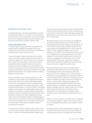# <span id="page-39-0"></span>Explanation of relevant risks

In the following sections, the risks associated with our business are explained according to our risk clusters. The main measures and instruments we use to counter these risks are also described here. We have separately indicated risks and risk-relevant issues that we currently classify as potentially medium to high.

#### **SUPPLY AND PRODUCTION**

The ability to keep the production facilities supplied with raw materials and the availability of the facilities are of central importance for the Aurubis Group. We limit the associated risks by implementing a range of specific measures:

To ensure the supply of copper concentrates for our facilities, we have entered into long-term agreements with a number of concentrate suppliers from various countries. In this way, we are able to reduce the risk of production interruptions caused by possible delivery failures. Despite the strain on many mines' production processes and logistics due to the coronavirus, we were able to fully supply our primary smelters with concentrates during the past fiscal year. The long-term orientation of our supply agreements also limits the risk of volatile treatment and refining charges on the spot market.

Despite a brief decline in raw material availability due to the coronavirus, we fully supplied our recycling facilities during the past fiscal year thanks to our extensive international supplier network. Due to the integration of the former Metallo Group's procurement organization, we continued improving our market cultivation and diversification in fiscal year 2020/21. From today's standpoint, we also expect a very good supply situation and full utilization of the facilities for fiscal year 2021/22. Nevertheless, the ability to predict the availability of recycling materials remains limited due to the short-term nature of agreements on these markets. There are still possible volatilities in refining charges for copper scrap due to the metal price trend, the collecting behavior and inventory management of the metal trade, the international economic situation, and the way the competition behaves, especially Asian competitors.

The material for the facilities producing copper products mainly comes in the form of copper cathodes manufactured within the Group. This allows us to simultaneously generate higher added

value and control the quality of copper products during the entire process. We also procured a sufficient volume of copper-bearing raw materials for the production plants belonging to Segment Flat Rolled Products. In this case, we also expect a similar situation for the coming fiscal year.

We address production risks with asset life cycle management and forward-looking maintenance work with the intention of reducing unplanned production shutdowns. We also address the risk of malfunctions by carrying out regular maintenance work and by keeping critical replacement parts on hand. In fiscal year 2020/21, we fully mitigated the impacts of the COVID-19 pandemic on our business. In the new fiscal year 2021/22, we still can't completely rule out risks for production due to COVID-19 infections. The main factors that help counter this risk are the vaccination campaigns at the individual sites, which are well advanced already, the sites' own capacities for carrying out COVID-19 tests, as well as the hygiene and distancing concepts that are still in place in regard to vaccination status.

We also took organizational measures to handle potential incidents that could result from events such as flooding or fire. Due to flooding caused by severe weather, we had to stop production at our site in Stolberg on July 14, 2021 and declare force majeure. The damage that arose is covered by the relevant insurance. Because of this incident, we are inspecting all sites with respect to possible risks related to strong rain and flooding. For instance, our parent plant in Hamburg is located near the Hamburg harbor and is protected by extensive flood control measures (referred to as polders) to prevent high water levels. Moreover, emergency plans are in place, and we carry out regular drills for the purpose of training our employees. We also addressed the risk of malfunctions by carrying out regular maintenance work and by keeping critical replacement parts on hand.

Taking into account the measures described above, we regard the risk of insufficient supply as "medium." We continued to classify the risk of strongly limited availability of our production facilities as "medium."

We deal with logistics risks by implementing a thorough, multistep selection and evaluation process for service providers, by avoiding single sourcing as far as possible, and by preventively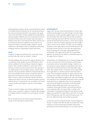developing backup solutions. We are currently feeling the impacts of worldwide delivery bottlenecks but are working intensively on this issue by processing information more quickly in the supply chain to have alternative scenarios available that would enable an optimized supply in different cases. We continuously monitor the movements of bulk carriers and container ships to be aware of delayed arrivals early on and minimize their effects. We also have an international network of qualified service providers at our disposal. This helps us to prevent weather-related or capacityrelated risks in the transport chain, for example by contractually arranging a selection of appropriate transport alternatives.

#### **SALES**

In addition to supply and production risks, the Aurubis Group also faces sales risks, which we classify as "medium."

Generally speaking, risks can arise from negative deviations from our predictions of the markets' economic development, which we have outlined in the Forecast Report. Despite the negative impacts of the coronavirus pandemic in many sectors of the economy, we observed a very positive trend in sales volumes of our copper products wire rod, shapes products, and flat rolled products in fiscal year 2020/21. While this trend generally doesn't seem to be leveling off at the moment, a temporary decline in demand from the automotive industry has to be anticipated. When it comes to sulfuric acid, there are inherent risks due to negative price trends in the case of market fluctuations caused by economic factors. To minimize this risk, we maintain a very broad customer portfolio with long-term contracts in the European market.

Thanks to economic analyses and estimates regarding economic trends, we are in a position to adjust our individual sales strategies to changing conditions as needed, thus countering any risks that arise.

We sell cathodes that are not further processed internally by Aurubis on the international cathode market.

#### **SUSTAINABILITY**

Supply chain risks (e.g., environmental pollution or human rights violations among suppliers) can mean damage to Aurubis' image and reputation, as well as possible negative impacts on our share price and product sales. We counter this risk with our Business Partner Screening in particular. With this instrument, we analyze existing and potential business partners, in some cases at regular intervals, to assess their integrity regarding social and ecological criteria. The focus of our interest is on topics such as compliance, corruption, human rights aspects, and environmental issues. We also assess business partners on the sales side using Business Partner Screening. Due to the high ongoing significance of responsibility in the supply chain as part of our sustainability approach, we classify the risk related to sustainability aspects in the supply chain as "medium."

Sustainability is an established part of our company strategy, and we work continuously on further enhancing our performance – in accordance with our Sustainability Strategy. In addition, we are involved in initiatives related to sustainability issues such as climate and environmental protection and responsible supply chains. This includes Aurubis' commitment to The Copper Mark. The Copper Mark is an initiative started in 2020 that entails a review of the sustainability standards of copper production sites including mines, smelters, and refineries. With this standard, we want to foster responsibility throughout the value chain, boosting and verifying our own sustainability performance with an external certification from an independent body. The 32 sustainability criteria of the Risk Readiness Assessment of the Responsible Minerals Initiative (RMI) apply, which cover topics such as compliance, human rights and labor, environmental protection, and occupational safety. The Copper Mark is oriented to the United Nations Sustainable Development Goals (SDGs). Aurubis Bulgaria was awarded The Copper Mark in April 2021. The Aurubis sites in Hamburg and Lünen have started the audit process. The plan is for additional Aurubis sites to follow successively.

Furthermore, Aurubis introduced the label "Tomorrow Metals by Aurubis" in October 2021. With this label, we combine the Group's measures to continue enhancing sustainability performance, particularly the environmental footprint, for our metal customers.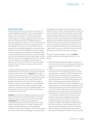#### **ENERGY AND CLIMATE**

Aurubis takes the protection of the climate very seriously. The company highlights the significance of this issue by publishing Scope 1, Scope 2, and Scope 3 CO<sub>2</sub> emissions as part of the separate Non-Financial Report. Aurubis counters the risks of climate change with an energy management system at all of the main sites, among other measures. The different projects to enhance energy efficiency and reduce CO<sub>2</sub> that are outlined in the Non-Financial Report have led to a project-based reduction of over 100,000 t of CO<sub>2</sub> (Scope 1 and 2) since 2013. This was an objective of the Sustainability Strategy that was achieved early at the end of fiscal year 2020/21. Within the scope of the updated company strategy, Aurubis has defined new sustainability targets to be achieved by 2030. These include our CO<sub>2</sub> reduction targets, which have been validated by the Science Based Targets initiative (SBTi) and contribute to limiting global warming to 1.5°C pursuant to the Paris Agreement. Accordingly, we want to reduce our absolute Scope 1 and Scope 2 emissions by 50% and our Scope 3 emissions (CO<sub>2</sub>) by 24% per ton of copper cathodes by 2030 compared to 2018.

In alignment with the definition given by the TCFD (Task Force on Climate-Related Financial Disclosures), we categorize climate risks into physical and transitory risks. The **physical** risks include the risks due to extreme weather events, both in our plants and in the transport chain, that are described in the "Supply and production" section. We counter the risks in the transport chain through geographic diversification in the supply chain, the storage of emergency reserves to maintain production, and the availability of alternative logistics service providers, among other things. Furthermore, we observe water levels (flooding/low water) in the key waterways to be able to promptly initiate countermeasures to maintain our transport routes.

Transitory risks include technological and political risks first and foremost. We welcome the accelerated expansion of renewable energies, but supply security has to be ensured in the process (technological risks). For this purpose, we address the fundamental supply security of the individual sites to be able to initiate countermeasures early on if needed. In addition to the energy shift related to electricity, we're also preparing the transition from natural gas to hydrogen. In this area, we're carrying out a series of tests on the use of hydrogen in our anode furnace

and taking part in the research project of the German Federal Ministry for Economic Affairs "Living Lab Northern Germany." We have also analyzed the potential and limitations of more flexible energy sourcing (for instance, as part of the completed northern German joint project NEW 4.0), which is becoming increasingly necessary due to the rising, volatile feed-in of renewable energies. Measures to boost flexibility include the compensated partial shutoff in the case of electricity bottlenecks and the use of our power-to-heat facility to generate steam with electricity in the case of excess electricity. Furthermore, we have had an energy supply contract in place since 2010, which secures most of the electricity our main German sites need in the long term.

Because of the constant changes in the overall political conditions, political risks have a significant influence on our business:

- » Mounting burdens resulting from changes in potential cost drivers such as the German and European emissions trade, grid charges, and the eco-tax are generally difficult to quantify reliably.
- » If the plans of the future German federal government to eliminate the German Renewable Energy Sources Act (EEG) are implemented in calendar year 2023 as planned, the risks related to the EEG will be removed from our Risk Report.
- » The copper production and processing industry will continue receiving free allocations of emission trading allowances for direct CO<sub>2</sub> emissions and electricity price compensation between 2021 and 2030 due to its carbon leakage status. For all sites taking part in emissions trading, free allocations of CO<sub>2</sub> certificates were approved in the amount applied for starting in 2021. The level will remain constant until 2025. However, taking into account the political CO<sub>2</sub> reduction goals of the Paris Agreement, we expect a decline in the free allocation of CO<sub>2</sub> certificates starting in 2026. For the entire Group, however, we don't expect any additional burden due to necessary purchases of CO<sub>2</sub> certificates. The CO<sub>2</sub> price increased once again in the past year; the supply of  $CO<sub>2</sub>$ allowances is supposed to be significantly reduced overall in the coming trading period, which will raise prices for CO<sub>2</sub> allowances further, according to all forecasts. The political decision-making process regarding the implementation of electricity cost compensation for indirect CO<sub>2</sub> costs starting in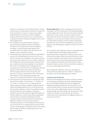2021 hasn't concluded yet in the EU Member States. The level of electricity price compensation still amounts to at least 50% of the cost burden. If a cap of 1.5% of gross value added is implemented for the contribution, as the EU regulation envisions, the relief will increase. So far, no electricity price compensation has been introduced in Bulgaria, but it's on the political agenda there.

- » The consultation on the revised Climate, Energy and Environmental Aid Guidelines (CEEAG), the European foundation for the compensation scheme for additional surcharges, is currently being reviewed. Based on the consultation drafts, the copper sector will continue to be eligible for these compensation schemes.
- » The decarbonization targets described above include different projects at the individual production sites, such as the test series for the direct use of hydrogen in the copper production process previously outlined. At our site in Pirdop, a solar plant with 10 MW power went into test operation in the past fiscal year. In addition, we have been providing CO<sub>2</sub>-free industrial heat to the city of Hamburg's district heating system for several years now. At the moment, we're planning an extensive expansion of this industrial heat supply. The shift of our electricity supply contracts to the sourcing of CO<sub>2</sub>-free electricity is currently in development as well. There are also initial studies on further substituting natural gas with electricity in our production facilities for wire rod and shapes.
- » Total emissions for all production sites in calendar year 2020 amounted to 4.1 million t of  $CO<sub>2</sub>$  (Scope 1 + 2: 1.6 million t of  $CO<sub>2</sub>$ ; Scope 3: 2.5 million t of  $CO<sub>2</sub>$ ). In copper production, however, gold, silver, platinum, palladium, additional precious metals, and building materials such as iron silicate stone are also recovered in addition to copper. These additional metals would be produced at other companies in alternative production processes that would emit significantly higher CO<sub>2</sub> emissions. Based on an external study referencing published emission factors, the metals mentioned above and the co-products that are recovered at Aurubis would lead to an additional 3.5 million t of CO<sub>2</sub> emissions each year in conventional production. Yet these additional emissions don't arise at Aurubis due to our energy-efficient processes, thanks in part to the advantages of the smelter network, which means that the metals we produce, including copper, have a very small carbon footprint.

We see market risks in further increasing prices for electricity, natural gas, and CO<sub>2</sub> first and foremost. We fundamentally guard ourselves against last-minute market price fluctuations with early purchases to a certain extent, so we aren't subject to the full extent of the risk from the current price increases. For the energy companies' CO<sub>2</sub> costs that are included in the electricity price (so-called indirect emissions), we have only been compensated half within the scope of the state aid guidelines, and not at all in Bulgaria, so the remaining part is subject to the risks of CO<sub>2</sub> price increases.

On the customer side, furthermore, there are increasing demands for transparent goals and strategies related to effective production processes, energy, and CO<sub>2</sub> efficiency, which could influence future copper product sales, particularly when it comes to customer acquisition and retention. We are countering these risks with steps such as annual climate reporting and evaluations of such reporting conducted by the CDP (formerly the Carbon Disclosure Project), as well as with the commitment to implement the science-based targets described above.

We are shifting the classification of the topic of energy and climate and the associated risks from "medium" to "high" due to the surge in costs and the high energy price volatility.

#### **FINANCE AND FINANCING**

Metal price and exchange rate fluctuations represent a potential risk in the buying and selling of metals. We substantially reduce this risk with foreign exchange and metal price hedging. We hedge metal backlogs daily with financial instruments such as spot and forward contracts. Similarly, spot and forward exchange contracts are used to hedge foreign currencies. We minimize foreign exchange risks from exchange rate fluctuations for metal transactions in foreign currencies this way. We only select creditworthy firms as counterparties for hedging transactions to minimize the credit risk.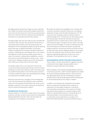We hedge expected receipts from foreign currencies, especially the US dollar, with options and forward exchange transactions in some cases. We will continue this in the future as well and expect that we can reduce the risks from metal price and exchange rate fluctuations to a reasonable level with these measures.

We largely hedge credit risks from trade accounts receivable with commercial credit insurances. We only permit internal risks to a very limited extent and after review. We closely monitor the development of the outstanding receivables. During the reporting period, there were no significant bad debts. The economic situation resulting from the coronavirus pandemic impacted our customers' creditworthiness intermittently, which in turn impacts the willingness of credit insurance providers to grant lines of credit. Our customers' creditworthiness stabilized as a result of the economic recovery following the coronavirus crisis – as did credit insurers' willingness to grant lines of credit. We therefore don't foresee any increased risks for the future, either.

The liquidity supply, which is very important for the Aurubis Group, was secured during the past fiscal year. The lines of credit provided by our banks were sufficient as well. The Aurubis Group has a stable financial situation in the new fiscal year as well and can finance possible fluctuations from operating business through its existing cash and available credit lines.

Risks that could result from a resurgence of the sovereign debt crisis in the eurozone have the potential to cause a cumulative impact from the individual risks described in this section, such as bad debt or liquidity. For this reason in particular, we classify the risks from finance and financing as "medium."

#### **INFORMATION TECHNOLOGY**

Aurubis is subject to IT risks that can impact areas such as supply, production, and sales, as well as communication and collaboration between departments and sites. These risks were taken into consideration in the company's risk assessment.

We handle risks related to the availability of our IT systems with continuous monitoring, redundant infrastructure, and ongoing adjustments to keep up with the latest developments in IT. We counter the risks of possible incidents or disasters with the redundant design of our IT infrastructure, as well as data recovery and continuity plans. We limit the risks that can result from unauthorized access to company data, as well as cybercrime, by restricting access rights, carrying out security reviews, and using modern security technologies. To counter increased security risks due to the strong use of remote work options, we optimized endpoint protection, cloud service security, and VPN access with the help of the latest security safeguards. Based on the increased security risks mentioned, and in connection with an enhanced awareness regarding the significance of cyber risks, we are shifting the IT risk classification from "low" to "medium."

#### **ENVIRONMENTAL PROTECTION AND OTHER ASPECTS**

There is always a risk that environmental or regulatory provisions could become more stringent, leading to added costs or limitations in product fabrication and marketing.

With the adoption of the Substitute Building Materials Ordinance in Germany in June 2021, a uniform national regulation was created for the use of substitute building materials in road construction. This significantly reduces the risks of marketing iron silicate in Germany, which is why we're lowering the overall risk classification for environmental protection from "high" to "medium."

In addition, environmental risks resulting from the possible failure to comply with thresholds and from violations of requirements can have legal consequences. Ensuring the environmentally sound operation of our production facilities helps prevent these situations, for example through our RDE project for reducing diffuse emissions in Hamburg. We are an international leader in environmental protection, which is confirmed by annual certifications in accordance with DIN EN ISO 14001 and EMAS, as well as the Platinum status in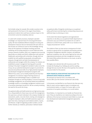the EcoVadis rating, for example. We consider ourselves to be well positioned for the future in this regard. Nevertheless, operational incidents that could have an adverse impact on the environment cannot be completely ruled out.

In a plant with complex processes, employees' specialist knowledge is an important factor for ensuring performance quality. We have established different employee recruiting and development measures that are intertwined with each other so that Aurubis can continue to count on this knowledge. Among these are the expansion of employer branding, personnel marketing, and recruiting measures on social media and online business networks (LinkedIn, XING, etc.); targeted active sourcing (specifically via LinkedIn and XING); collaboration with selected headhunters; partnerships with universities, through which we establish ties with qualified young people; and qualification measures, through which we foster the development of professionals and managers within the company. For instance, we established a project management learning path to provide training in the project management standards in place across the Group, set up a potential development program to promote the personal and professional skills of our high-potential employees, and developed management development programs with different focus areas, such as healthy leadership and shop floor management. An extensive range of learning sessions on professional and methodological topics is available to all employees through our Learning Academy. To secure Group-wide knowledge management, we successfully piloted and established knowledge transfer as a knowledge management method as part of succession planning at Aurubis AG. We are currently reviewing the need for this across the Group.

Occupational safety and health protection are high-priority areas for us. Responsibility for these issues rests with the management, the supervisors, and each individual in the company. Detailed risk assessments, audits, cross-site checks, training, and campaigns to strengthen employees' safety and health awareness support our goal: Vision Zero, meaning zero work-related accidents, injuries, and illnesses. In light of stagnating accident numbers, we will further intensify our initiatives, particularly in behavior-based

occupational safety. Stringently monitoring our occupational safety performance and deriving the corresponding measures are additional steps to achieving our vision.

To the extent that national regulations and organizational capacities on site allow, our occupational health departments or contractors carry out COVID-19 vaccinations for our staff. In reference to COVID-19 tests, please refer to our remarks in the "Supply and production" section.

The violation of laws can have serious consequences for both Aurubis as a group and for its employees and business partners. Compliance management identifies, analyzes, and addresses significant compliance risks. We counter legal and tax risks with organizational procedures and clear management structures. We closely follow political discussions on tax issues, as well as their possible effects.

We largely cover selected risks with insurance as well. This includes the flooding of our Stolberg site and the resulting damage that was incurred. We rely on the expertise of an external insurance broker for this purpose.

#### **NON-FINANCIAL RISKS WITHIN THE SCOPE OF THE SEPARATE NON-FINANCIAL REPORT**

We assessed non-financial risks in accordance with Section 289c (3) of the German Commercial Code (HGB).

In the process, we identified no non-financial risks that were very likely to cause a serious negative impact on employee and environmental matters, on respect for human rights, on the prevention of corruption and bribery, or on social matters.

Nevertheless, it is important to us to handle non-financial risks even if they are classified as non-material according to the strict definition of the German Commercial Code (HGB). As a result, we have developed and implemented management approaches accordingly.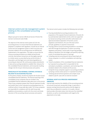## <span id="page-45-0"></span>Internal control and risk management system relating to the consolidated accounting process

(Report pursuant to Section 289 (4) and Section 315 (4) of the German Commercial Code (HGB))

The objective of the internal control system (ICS) for the accounting process is to ensure that financial statements are prepared in compliance with regulations. Aurubis has an internal control and risk management system in which structures and processes related to the accounting process are defined and implemented in the organization. This helps us ensure that the Group accounting procedures are reliable and performed correctly, that business transactions are thoroughly reported in a timely manner as prescribed by law and the Articles of Association, and that legal norms and internal guidelines on accounting are observed. We continuously analyze amendments to laws and accounting standards to establish their relevance for the consolidated financial statements, and incorporate resulting changes into the Group's internal processes and systems.

#### **PRINCIPLES OF THE INTERNAL CONTROL SYSTEM AS RELATED TO ACCOUNTING POLICIES**

As the parent company, Aurubis AG prepares the Aurubis Group's consolidated financial statements. The financial reporting of the consolidated Group companies that are included in the consolidated financial statements takes place prior to this process. These Group companies prepare their financial statements locally and transfer them to the Corporate Accounting department via a defined uniform Group-wide data model. The Group companies are responsible for compliance with the valid Group-wide guidelines and procedures, as well as for the correct and timely execution of the accounting-relevant processes and systems.

The internal control system includes the following main principles:

- » Ensuring standardized accounting procedures in the preparation of the separate financial statements of Aurubis AG by systematically implemented controls, which are supported by manual accounting controls and other authorization and approval procedures (separation of functions, access regulations and limitations, the use of the dual control principle, guidelines on payment transactions)
- » Ensuring uniform Group accounting procedures in accordance with IFRS through the application of uniform accounting regulations and policies, central audit of reporting packages, analysis of deviations from the budget, and quarterly reporting as part of centralized discussions on earnings
- » Compiling external accounting and internal reporting by all Group companies in a uniform consolidation and reporting system
- » Overall consolidation of the consolidated financial statements by Corporate Accounting, which is responsible for the centralized consolidation, coordination, and monitoring of the standards related to the schedule and the process
- » Giving the Group companies support in accounting procedures by having a central contact person in Corporate Accounting
- » Clarifying special technical questions and complex issues related to specific cases with an external consultant

#### **INTERNAL AUDIT AS A PROCESS-INDEPENDENT OBSERVER**

Internal Audit examines the reliability of the accounting practices at local and Group level, among other things. In particular, it assesses existing internal process policies and the degree to which they are adhered to in practice. In its audits, Internal Audit provides information about risks that arise from identified deviations, as well as recommendations with regard to the adjustments to be made.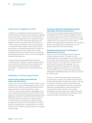# <span id="page-46-0"></span>Opportunity management system

In addition to risk management, opportunity assessment is an important element of the Aurubis Group's planning, management, and control processes. Its objective is the early identification of internal and external opportunities that could positively impact our economic success. We evaluate these opportunities and weigh them with their associated risks. The next step is for us to define initiatives and measures to help us tap this potential. In a particularly intensive strategic analysis process during the past fiscal year, we identified key opportunities for Aurubis and defined operating measures and strategic projects to take advantage of this business potential. The process of identifying and assessing opportunities is also part of our annual integrated strategy and planning process.

In order to promptly recognize possible opportunities, we continually monitor and analyze the supply and demand aspects of our markets, the competitive landscape, and global trends. Identifying potential opportunities is a daily management responsibility – on the level of both the operational areas and the Group.

# Explanation of relevant opportunities

#### **RISING GLOBAL DEMAND FOR COPPER AND METALS FOR TECHNOLOGY**

Copper is one of the most important industrial metals. It is crucial for infrastructure expansion and development, as well as for key industrial sectors. Demand for copper follows global economic growth, especially in the electrical, electronics, energy, construction, and automotive industries. Ongoing global trends such as urbanization, the growth of the world's middle class, the expansion of renewable and decentralized energy supply systems, digitalization, and electric vehicles will continue to increase not only copper demand in the long term, but also the demand for other metals such as nickel, platinum, palladium, selenium, and tellurium. If the economy and the demand for our products develop more favorably than currently expected in the markets relevant to us, this could have a positive influence on the Aurubis Group's earnings.

#### **CHANGES IN TREATMENT AND REFINING CHARGES AND MARKET PRICES FOR OUR PRODUCTS**

The Aurubis Group's earnings situation is largely determined by the development of treatment and refining charges for copper concentrates, copper scrap, and other recycling materials, as well as by the market prices for our products, such as wire rod, copper cathodes, sulfuric acid, and precious and minor metals. If treatment and refining charges and market prices for our products develop more positively than currently forecast, this could positively impact the Aurubis Group's earnings.

#### **INCREASING SIGNIFICANCE OF SUSTAINABILITY AND RESOURCE EFFICIENCY**

Aurubis is one of the world's leading recyclers of copper and complex recycling raw materials. This applies to its own sustainability efforts under ecological, social, and ethical criteria as well. In light of the rising importance of resource efficiency, we expect demand for recycling solutions and low-loss metal production and recovery to continue growing. This is also supported and promoted by increasingly strict national and international legislation and initiatives such as the European Green Deal. More and more, customers and suppliers are also making higher sustainability demands at the same time, which can also benefit Aurubis.

Thanks to our multimetal recycling activities and proximity to our copper product customers, we consider ourselves to be in a position to offer expanded "closing the loop" solutions. Following the acquisition of the Metallo Group, Aurubis has been able to extend its recycling capabilities even further. If national and international recycling regulations broaden and demand for recycling solutions, either in general or with increasing sustainability requirements, grows more strongly than expected in our markets, this could positively affect the Aurubis Group's procurement situation and therefore its earnings.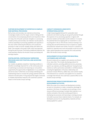#### **FURTHER DEVELOPMENT OF EXPERTISE IN COMPLEX RAW MATERIAL PROCESSING**

Both primary and secondary raw materials are becoming increasingly complex since the copper content is falling and the concentrations of accompanying elements and impurities in them are rising. One of Aurubis' particular strengths is in processing complex primary and secondary raw materials. Aurubis plans to continue expanding its processing capabilities and capacities in this area, further enhancing the efficiency of its production processes in order to recover valuable metals even better and faster. One example is the project ASPA, which was approved during the past fiscal year. If we build up additional expertise, this could positively influence the Aurubis Group's purchasing and earnings situation.

#### **DIGITALIZATION, CONTINUOUSLY IMPROVING PROCESSES AND COST POSITION, AND ACHIEVING SYNERGIES**

Our markets are globally competitive. Operating excellence is therefore exceedingly important for us. We continuously work on optimizing our processes and improving our cost position, supported by the opportunities of digitalization in our production and service areas. Furthermore, we are always identifying and implementing means to increase the synergy potential within the network of Aurubis plants. If we go beyond the targets connected to initiated improvement measures, this could have a positive impact on the Aurubis Group's earnings.

#### **CAPACITY EXPANSION LINKED WITH INTERNATIONALIZATION**

In light of growing global demand for sustainable metal production and metal recycling, we see growth potential through the expansion of our processing capacities in regions with attractive markets and favorable overall conditions. It is exactly this potential that we're tapping with our investment in a new recycling plant in the US. We will also continue investing in our existing sites and will furthermore strive to expand our supplier and production network even further. If we are in a position to expand our capacities even more and possibly to even do so with lower capital expenditure than expected, this could positively affect the Aurubis Group's earnings.

#### **DEVELOPMENT OF SOLUTIONS FOR INDUSTRIAL CUSTOMERS AND SUPPLIERS**

We work closely with our suppliers and customers at all levels of our value chain. This includes developing products for individual customers, providing additional services, processing specific raw materials, and offering additional "closing the loop" solutions as well as particularly sustainable or certified products, including the digitalization of business relationships and processes to boost efficiency, added value, and customer loyalty. If the demand of our customers and suppliers for our solutions is stronger than forecast, this could have a positive effect on the Aurubis Group's earnings.

#### **INNOVATIONS FROM FUTURE RESEARCH AND DEVELOPMENT ACTIVITIES**

Within the scope of our research and development activities, we work on innovations to create a competitive advantage for ourselves in the future. For example, we are working on more resource-efficient processing of complex feed materials in our smelters and plants. We are also working specifically on developing new processes and improving on existing processes to be able to process future material streams. For example, we developed a process for recycling battery materials and have already applied for a patent.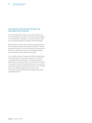# <span id="page-48-0"></span>Assessment of the Aurubis Group's risk and opportunity situation

No risks threatening the company's continued existence arose in the reporting year. There were no particular structural changes in the Group's risks. According to our current assessment, there are no risks that endanger the company's continued existence.

Both the Audit Committee and the auditors ascertained that the Executive Board and Supervisory Board have taken the measures prescribed by Section 91 (2) of the German Stock Corporation Act (AktG) in an appropriate manner and that the legally required early risk detection system fulfills all requirements.

For a complete overview of company activities, the opportunities of the Group have to be considered in addition to the risks. We are confident that we will be able to utilize the opportunities presented by our business portfolio, our expertise, and our ability to innovate. At the same time, these factors put us in a position to counter existing risks successfully. Furthermore, we are convinced that we have the appropriate processes, measures, and instruments in place to identify important opportunities and to manage relevant risks.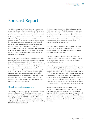# <span id="page-49-0"></span>Forecast Report

The statements made in the Forecast Report are based on our assessments of the overall economic conditions, of global copper market trends, and of Aurubis' raw material and product markets. These assessments are based on analyses by economic research institutes, organizations, and industry associations, as well as on internal market analyses. The forecasts for the future business performance shown here take into account the segment targets, as well as the opportunities and risks posed by the expected market conditions and competitive situations in the forecast period of October 1, 2021 to September 30, 2022. The opportunities and risks affecting the Aurubis Group are explained in detail in the Risk and Opportunity Report. Our forecasts are regularly adjusted. The following statements are based on our knowledge in December 2021.

From our current perspective, there are multiple factors with the potential to influence the Aurubis Group's markets. In particular, these include the ongoing global COVID-19 pandemic and its impacts on global economic growth. The emergence of additional virus variants and the vaccination progress worldwide play a role first and foremost. Moreover, fiscal measures enacted as a reaction to the course of the pandemic can have major impacts in the EU or the US, for example. The measures to strengthen infrastructure and social security in the US especially could have a strong effect on economic growth – nationally, but also worldwide. Ultimately, the monetary policy reactions of the central banks to inflation tendencies on various markets could influence future financing conditions.

# Overall economic development

The International Monetary Fund (IMF) estimates that the global economy will grow by 4.9% in 2022 but, at the same time, indicates the uncertainties behind their forecast. These include the ongoing course of the COVID-19 pandemic and the vaccination progress, but also the financing conditions, which could tighten in the course of monetary policy measures resulting from current inflation expectations.

For the economies of emerging and developing countries, the IMF forecasts 5.2% growth for 2022. As always, the regions vary significantly. With predicted growth of 6.4%, emerging and developing countries in Asia in particular will once again make a significant contribution to the growth forecast of this group of countries. China, which is important for the copper market, accounts for a key share of the economic upswing. The IMF expects 5.7% growth in China for 2022.

The GDP of industrialized nations should grow by 4.4% in 2022, according to the IMF. Growth of 4.9% is expected for the US, 4.3% for the eurozone. The forecast indicates that Germany's GDP will increase by 4.1% in 2022.

Individual sectors such as the electrotechnical industry, the automotive industry, and the construction sector are important consumers of copper products. The economic developments expected here are as follows:

In its most recent forecast for the global electrical and electronic products market (July 2021), the German Electrical and Electronic Manufacturers' Association (ZVEI) predicts about 6% growth in the global market for 2022 – following 9% growth in the sector in 2021. This forecast includes 53 countries, which together comprise approximately 95% of the global market. For Europe, which accounts for 16% of the global market, the German Electrical and Electronic Manufacturers' Association (ZVEI) expects 6% growth in 2022 following 7% growth in 2021. The volume of the German market is expected to rise by 6% in 2021 and then by 7% in 2022.

According to the European Automobile Manufacturers' Association (ACEA), demand for cars in the EU is supposed to grow in 2021 and 2022. After about 10 million vehicles were registered in 2020, the association anticipates the registration of around 11 million cars for 2021 and around 12 million in 2022. Growth momentum comes from the transition to electric vehicles due to tightening environmental regulations and state investment incentives.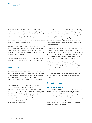<span id="page-50-0"></span>Construction growth is evident in the sectors that have also reflected relatively stable business throughout the pandemic. According to the German Institute for Economic Research (DIW), construction volume should grow nominally by more than 5% in 2022 – after about 3% growth in 2021. While growth in home construction continues, commercial construction has to overcome a pandemic-related slump. However, publicly financed construction measures could stabilize building activity.

Based on these forecasts, we expect positive ongoing development in the three most important sectors for copper products in 2022, continuing the good trend of the previous year. Nevertheless, political and economic developments may decisively influence the respective market situations.

The effects of European and German energy and environmental policy, which are important for us, are difficult to forecast in detail.

# Sector development

Following the copper price's steady climb to a new ten-year high around the US\$ 10,700/t mark, it dropped at the end of the fiscal year and stabilized around the US\$ 9,000/t mark. According to the Thomson Reuters analyst survey from October 2021, the median copper price should be US\$ 9,000/t in calendar year 2022.

The trend in copper smelter output is still a key factor for assessing the copper market. The focus remains on Asia, particularly China, which accounts for about 40% of global refining capacity in 2021. The commissioning of additional smelter projects, and thus capacity increases, can be expected in China in the years to come. Between 2021 and 2026, Wood Mackenzie expects average annual growth of 2.6% in global refining capacities. The research company estimates global refined copper output in 2022 at 25.3 million t, equivalent to a 4.7% increase compared to the previous year.

High demand for refined copper can be anticipated in the coming calendar year as well. The metal remains an essential material for economic development in key sectors such as the electrical and automotive industries and construction. On top of that, the EU is tightening regulations related to climate protection, and both the EU and China are promoting climate-friendly technologies with state support to a great extent. Since these technologies hold considerable potential for copper applications, demand is likely to continue increasing.

For Europe, Wood Mackenzie forecasts a roughly 1.6% increase in demand for refined copper, to 3.9 million t, in 2022. At approximately 12.7 million t, demand in China will be flat in 2022 compared to the previous year. This accounts for nearly half of global demand, which is expected to be 25.1 million t in 2022 after a 2.8% increase compared to the previous year.

On the global market for refined copper, Wood Mackenzie expects a low overall production surplus of around 222,000 t for 2022 as a result – following a slight market deficit in 2021. Research provider CRU likewise foresees a low production surplus for 2022.

Rising demand for refined copper and the high ongoing price level provide good overall conditions for Aurubis for the coming fiscal year.

# Raw material markets

#### **COPPER CONCENTRATES**

The copper concentrate market is growing on both the demand side and the supply side. A recovery in output from existing mines, expansion projects, and the ramp-up of new projects are contributing significantly to production increases in different countries. Wood Mackenzie predicts that global mine output (based on copper content, before accounting for disruptions and adjustments) will rise by 8.8% in 2022. The research firm assumes that the concentrate supply will therefore be able to keep up with the growing demand from smelters.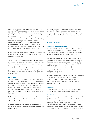<span id="page-51-0"></span>For annual contracts, the benchmark treatment and refining charge (TC/RC) for processing standard copper concentrates was US\$ 59.5/t and 5.95 cents/lb in 2021. Spot prices moved well below this benchmark in some cases during long stretches of the first half of 2021. Due to a growing concentrate supply with simultaneous maintenance shutdowns in Chinese smelters, they later increased, even beyond the benchmark. Barring any unexpected losses in the mine supply, stable or rising TC/RCs should be expected as the year goes on. For 2022, Wood Mackenzie expects a slightly higher benchmark compared to the previous year based on an easing of the concentrate market.

At the time this report was prepared, the benchmark negotiations for 2022 annual contracts on the copper concentrate market hadn't yet been concluded.

The growing supply of copper concentrates and rising TC/RCs as discounts on the purchase price strengthen Aurubis' position when it comes to concentrate sourcing. Due to our position on the market, our long-term contract structure, and our supplier diversification, we are confident that we will once again secure a good copper concentrate supply. We are already supplied with concentrates with good treatment and refining charges beyond Q1 of fiscal year 2021/22.

#### **RECYCLING**

The recycling material market was at a high level in the course of the year. The focus on sustainability and high ESG standards will enable Aurubis to access material flows that had been exported in the past. In light of this fact, as well as the recovering global economy and the current copper price level, Wood Mackenzie forecasts a positive development in the supply of recycling materials. At the same time, however, high demand is expected from Asia.

Business in this area, particularly for copper scrap, is conducted with short timelines and is therefore dependent on a variety of influences that are difficult to forecast.

In contrast, the availability of complex recycling materials is subject to less volatility. The market environment is expected to be at least stable.

Overall, Aurubis expects a stable supply situation for recycling raw materials with good refining charges. We are already supplied with recycling material with good refining charges beyond Q1 of fiscal year 2021/22. Our broad market position absorbs supply risks.

# Product markets

#### **MARKETS FOR COPPER PRODUCTS**

As at the reporting date, demand for copper products continues to be strong in Q1 2021/22. In the negotiation season for 2022 annual sales contracts, which is still underway, we have already contractually fixed the orders on hand to a large extent.

One factor that is already clear is the copper premium Aurubis has established for European wire rod and shapes customers for the coming calendar year. Aurubis increased this premium for its European customers compared to the previous year to US\$ 123/t (2021: US\$ 96/t). The increase in the copper premium reflects the ongoing positive market expectations regarding demand in Europe in 2022 and partially compensates for the sharp increases in freight and energy costs.

In light of stable sector development in 2022 and an improvement in economic growth in Europe, we expect to conclude the negotiation season for copper products with contracts at a high level. Good customer relationships and the strong position in our key markets support this.

#### **CATHODES**

Sales of free cathode volumes on the market are based on the planned processing of our cathode output in the Group.

#### COPPER WIRE ROD

When it comes to copper wire rod, the positive trend continues in Q1 2021/22. In Europe – as in other parts of the world – demand remains at a good level. For 2022, CRU expects demand in Europe to be at pre-pandemic level throughout 2022. Demand will depend considerably on the ongoing economic trend in the key customer industries. As outlined in the section "Overall economic development," we expect to see growth in the electrical industry,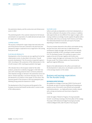<span id="page-52-0"></span>the automotive industry, and the construction and infrastructure sector in 2022.

The predicted growth in the customer industries for the forecast period leads to an expectation of a stable demand and sales trend for copper wire rod for Aurubis.

#### COPPER SHAPES

The recovery in demand for copper shapes that took hold at the end of the previous fiscal year continued in the past fiscal year. Demand for shapes is expected to be at a high level in the coming fiscal year as well.

#### FLAT ROLLED PRODUCTS

Developments in the US economy are very significant for the flat rolled products sector. As described in the section "Overall economic development," the US economy is expected to grow in 2022. According to CRU, production of flat rolled products in the US will increase in 2021, reaching pre-pandemic level again.

CRU indicates that on the European market for flat rolled products, production is evidently rising again in 2021 after two years with a declining production level. Connector production, which depends strongly on demand in the automotive sector and electric vehicles especially, is one factor that plays a key role in the demand for our products in this market. For this sector, CRU forecasts growth in the eurozone in 2021 and subsequent years following strong production downturns in 2020.

The development of the US economy and the growth of the European economy both benefit Aurubis when it comes to sales of flat rolled products.

#### SULFURIC ACID

Sulfuric acid sales are dependent on short-term developments, a fact that is reflected in the duration of the contracts. In addition, sales opportunities are very different from region to region, with varying conditions accordingly. Aurubis supplies the global sulfuric acid market, with a focus on Europe, North America, and Turkey. The relationship between local sales and exports fluctuates depending on market circumstances.

The price increases observed on the sulfuric acid markets during the past fiscal year, which were due to stable demand and simultaneous supply shortages, will continue or even intensify during the remainder of 2021, according to market researcher ICIS. For Northwest Europe, ICIS continues to expect a short supply at the end of the year, together with further price increases. Supply shortages are continuing in the US at the end of the year as well. The Chinese markets are characterized by significant regional differences.

Based on the stable demand on the sulfuric acid market and the developments in sales prices, we anticipate a positive trend in the earnings situation on this market.

# Business and earnings expectations for the Aurubis Group

#### **BUSINESS EXPECTATIONS**

We updated our strategy in fiscal year 2020/21. By the end of this decade, we want to continue solidifying and expanding our position as one of the world's most efficient and sustainable multimetal producers – as a high-performance smelter network with a strong core business and new drivers of growth in recycling.

Under the tagline "Metals for Progress: Driving Sustainable Growth," we will keep investing in the three pillars of the strategy. The project ASPA (Advanced Sludge Processing by Aurubis) in Beerse (Belgium) falls under the pillar of securing and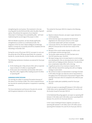strengthening the core business. The investment in the new recycling plant Aurubis Richmond falls under the pillar of growth options. We attribute the expansion of our Industrial Heat project in Hamburg to the sustainability pillar – we'll start implementing the second stage of this project in 2022.

With the Metallo acquisition, we have already significantly strengthened our position as a multimetal provider. The integration of the two sites in Beerse (Belgium) and Berango (Spain) is running very successfully and will be completed with the rebranding in December 2021.

During the course of fiscal year 2021/22, we expect to carry out the partial sale of the FRP group (specifically, the companies Aurubis NL, Aurubis Mortara, Aurubis Slovakia, and Aurubis UK).

The following maintenance shutdowns are planned for fiscal year 2021/22:

- » At the Hamburg site in May and June 2022, with an expected impact of about € 25 million on operating EBT
- » At the Lünen site in November and December 2021 and in May 2022, with a negative effect totaling around € 16 million on operating EBT

#### **EARNINGS EXPECTATIONS**

Our earnings are subject to quarterly fluctuations because of the nature of our business model. This is due to seasonal factors but may also be caused by disruptions in equipment or operating processes.

The future development and forecast of Aurubis AG coincide with the general statement on the Aurubis Group.

The outlook for fiscal year 2021/22 is based on the following premises:

- » Based on industry forecasts, we expect copper demand to continue growing.
- » At the time this report was prepared, the benchmark negotiations for 2022 annual contracts on the copper concentrate market hadn't yet been concluded.
- » In fiscal year 2021/22, the market trend for copper scrap is difficult to forecast due to the short-term nature of the business.
- » Because of the current market situation for sulfuric acid, we anticipate a positive earnings trend.
- » The Aurubis copper premium for 2022 has been set at US\$ 123/t (previous year: US\$ 96/t).
- » We expect energy costs to increase based on current energy price developments. We can only absorb price risks to a limited extent with our hedging activities. Moreover, CO<sub>2</sub> electricity price compensation takes effect with a time lag.
- » A significant portion of our revenues is based on the US dollar. We have reduced the resulting risks with our hedging strategy to some extent.
- » We continue to expect an improvement in earnings of at least € 100 million through cost reduction and an improvement in throughput from the Performance Improvement Program (PIP) starting in fiscal year 2022/23 compared to the reference year 2018/19.
- » We expect stable plant availability overall for fiscal year 2021/22.

Overall, we expect an operating EBT between € 320 million and € 380 million and an operating ROCE between 12% and 16% for the Aurubis Group for fiscal year 2021/22.

In the Multimetal Recycling segment, we expect an operating EBT between € 140 million and € 200 million and an operating ROCE between 16% and 20% for fiscal year 2021/22.

In the Custom Smelting & Products segment, we expect an operating EBT between € 210 million and € 270 million and an operating ROCE between 10% and 14% for fiscal year 2021/22.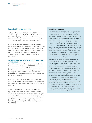# <span id="page-54-0"></span>Expected financial situation

At the end of fiscal year 2020/21, Aurubis had € 965 million in available cash (September 30, 2020: € 481 million). The company has additional liquidity through lines of credit amounting to € 350 million from a syndicated loan agreement running until 2023. Aurubis therefore has an excellent liquidity position.

We expect the stable financial situation from the operating business to continue in the coming fiscal year. We intend to settle the payments scheduled for fiscal year 2021/22, amounting to about € 103 million, with the existing liquidity. Furthermore, we intend to make additional unscheduled repayments of Schuldschein loans, amounting to about € 153 million, in December 2021.

#### **GENERAL STATEMENT ON THE FUTURE DEVELOPMENT OF THE AURUBIS GROUP**

The COVID-19 pandemic could influence the Aurubis Group's business development in fiscal year 2021/22. We will continue to give our employees' health the highest priority. In addition to the COVID-19 pandemic, developments in the global economy and the supply and demand situation on our procurement and product markets will impact the course of Aurubis' business and require our full flexibility.

In fiscal year 2021/22, we will continue pursuing the targets outlined in our strategy "Metals for Progress: Driving Sustainable Growth" and carry out the investment measures planned for the fiscal year.

With the very good result in fiscal year 2020/21, we have demonstrated that we take advantage of the opportunities offered on our procurement and product markets and have risen to the challenges of the pandemic. We expect to be able to build on the positive trend of the past fiscal year and are starting fiscal year 2021/22 with optimism, with a significantly increased forecast range for operating EBT and, likewise, a higher ROCE forecast range.

#### Forward-looking statements

This document contains forward-looking statements about our current forecasts of future events. Words such as "anticipate," "assume," "believe," "predict," "expect," "intend," "can/could," "plan," "project," "should," and similar terms indicate such forwardlooking statements. These statements are subject to a number of risks and uncertainties. Some examples include unfavorable developments in the global economic situation, especially impacts of the COVID-19 pandemic; political developments in the US, Europe, and China; a tightening of the raw material supply; and a decline in demand in the main copper sales markets. Further risks include a deterioration of our refinancing options on the credit and finance markets; unavoidable events beyond our control such as natural disasters, acts of terror, political unrest, and industrial accidents, and their effects on our sales, purchasing, production, and financing activities; changes in exchange rates; a drop in acceptance for our products, resulting in impacts on the establishment of prices and the utilization of processing and production capacities; price increases for energy and raw materials; production interruptions due to material bottlenecks, employee strikes, or supplier bankruptcies; the successful implementation of measures to reduce costs and enhance efficiency; the business outlook for our significant holdings; the successful implementation of strategic cooperation and joint ventures; amendments to laws, ordinances, and official regulations; and the outcomes of legal proceedings and other risks and uncertainties, some of which are described in the Risk and Opportunity Report in this Annual Report. If one of these uncertainties or difficulties occurs, or if the assumptions underlying the forward-looking statements prove to be wrong, the actual results could deviate considerably from the results mentioned or implicitly expressed in these statements. We do not intend, nor do we assume the obligation, to update forwardlooking statements continuously, as these statements are based solely on the circumstances on the day of publication.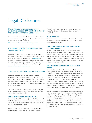# <span id="page-55-0"></span>Legal Disclosures

### Declaration on corporate governance pursuant to Section 289f and Section 315d of the German Commercial Code (HGB)

The declaration is printed at the beginning of this Annual Report and is available on the company's website in the "About Aurubis" section under "Corporate Governance."

<https://www.aurubis.com/en/about-us/corporate-governance>

# Compensation of the Executive Board and Supervisory Board

We explain the basic principles of the compensation system for the Executive Board and Supervisory Board in the Compensation Report of the [Corporate Governance Report](#page--1-0) Q pages 18-43, which is part of the Combined Management Report. This information is printed in the Annual Report and is available on the company's website in the "About Aurubis" section under "The Group." [www.aurubis.com/en/about-us/management](https://www.aurubis.com/en/about-us/management)

### Takeover-related disclosures and explanations

Explanatory report by the Executive Board of Aurubis AG, Hamburg, in accordance with Section 176 (1) sentence 1 of the German Stock Corporation Act (AktG) on disclosures of takeover provisions pursuant to Section 289a (1) and Section 315a (1) of the German Commercial Code (HGB) as at the balance sheet date of September 30, 2021.

The following disclosures as at September 30, 2021 are presented in accordance with Section 289a (1) and Section 315a (1) of the German Commercial Code (HGB).

#### **COMPOSITION OF THE SUBSCRIBED CAPITAL**

The subscribed capital (share capital) of Aurubis AG amounted to € 115,089,210.88 as at the balance sheet date and was divided into 44,956,723 no-par-value bearer shares, each with a notional value of € 2.56 of the subscribed capital.

Each share grants the same rights and one vote at the Annual General Meeting. There are no different classes of shares.

The profit entitlement for any new shares that are issued can deviate from Section 60 of the German Stock Corporation Act (AktG).

#### **TREASURY SHARES**

Please refer to the Aurubis AG notes to the financial statements for information pursuant to Section 160 (1) no. 2 of the German Stock Corporation Act (AktG).

#### **LIMITATIONS RELATED TO VOTING RIGHTS OR THE TRANSFER OF SHARES**

According to the Executive Board's knowledge, shareholders' voting rights are not subject to any limitations, with the exception of possible legal prohibitions on voting (particularly in an isolated case pursuant to Section 136 of the German Stock Corporate Act (AktG)). Pursuant to Section 71b of the German Stock Corporation Act (AktG), the company is not entitled to voting rights from any of its own shares that it holds.

#### **SHAREHOLDINGS EXCEEDING 10% OF THE VOTING RIGHTS**

One indirect shareholding in Aurubis AG exceeds 10% of the voting rights as at the balance sheet date (September 30, 2021): Salzgitter AG, Salzgitter, notified the company in accordance with Section 33 (1) of the German Securities Trading Act (WpHG) on December 12, 2018 that its voting interest in Aurubis AG had exceeded the threshold of 25% of the voting rights on December 12, 2018 and amounted to 25.0000006% of the voting rights (representing 11,239,181 votes). Of this total, 25.0000006% of the voting rights (representing 11,239,181 votes) are attributed to Salzgitter AG via Salzgitter Mannesmann GmbH, Salzgitter.

Accordingly, one direct shareholding in Aurubis AG exceeds 10% of the voting rights as at the balance sheet date (September 30, 2021). According to the notification of Salzgitter AG, Salzgitter, dated December 12, 2018, Salzgitter Mannesmann GmbH, Salzgitter, held 25.0000006% of the voting rights (representing 11,239,181 votes) on December 12, 2018. In its analysts' conference regarding the first half of 2020, which took place on August 12, 2020, Salzgitter AG published that its shareholding in Aurubis AG amounted to 29.99%.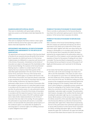#### **SHAREHOLDERS WITH SPECIAL RIGHTS**

There were no shareholders with special rights conferring supervisory powers as at the balance sheet date (September 30, 2021).

#### **PARTICIPATING EMPLOYEES**

There were no employees that held an interest in share capital and did not directly exercise their supervisory rights as at the balance sheet date (September 30, 2021).

#### **APPOINTMENT AND REMOVAL OF EXECUTIVE BOARD MEMBERS AND AMENDMENTS TO THE ARTICLES OF ASSOCIATION**

The appointment and removal of members of the Executive Board of Aurubis AG are covered by Sections 84 and 85 of the German Stock Corporation Act (AktG) and Section 31 of the German Codetermination Act (MitbestG) in conjunction with Section 6 (1) of the Articles of Association. Amendments to the Articles of Association are subject to the approval of the shareholders at the Annual General Meeting. The resolution at the Annual General Meeting requires, in addition to a simple majority of votes, a majority that must comprise at least three-quarters of the subscribed capital represented in the vote; Section 119 (1) no. 6, Section 133 (1), and Section 179 *et seq.* of the German Stock Corporation Act (AktG) apply. In accordance with Section 11 (9) of the Articles of Association, the Supervisory Board is authorized to pass amendments to the Articles of Association that only relate to their wording. Furthermore, the Supervisory Board is authorized to adjust Section 4 of the Articles of Association after the complete or partial execution of a subscribed capital increase in accordance with the respective claim to the authorized capital and after the authorization expires. It is also authorized to amend the version of Section 4 (1) and (3) of the Articles of Association in accordance with the respective issuance of new no-par-value bearer shares within the context of the 2017 conditional capital and to make all other related amendments to the Articles of Association that only relate to the wording. The same applies if the authorization to issue bonds with warrants or convertible bonds is not exercised after the authorization period expires or if the conditional capital is not utilized after the deadlines for exercising option or conversion rights or for fulfilling conversion or option obligations have expired.

#### **POWER OF THE EXECUTIVE BOARD TO ISSUES SHARES**

There is currently no authorization for the Executive Board to issue shares from authorized capital pursuant to Section 202 (2) sentence 1 of the German Stock Corporation Act (AktG).

#### **POWER OF THE EXECUTIVE BOARD TO REPURCHASE SHARES**

With a resolution of the Annual General Meeting on March 1, 2018, the company was authorized until February 28, 2023 to repurchase its own shares up to a total of 10% of the current subscribed capital. Together with other own shares held by the company or attributable to it in accordance with Section 71a *et seq.* of the German Stock Corporation Act (AktG), the shares acquired by the company based on this authorization shall at no time exceed 10% of the company's current subscribed capital. The acquisition of shares for the purpose of trading with own shares is excluded. The Executive Board is empowered to use shares in the company that are purchased on account of this power for all legally permitted purposes, and in particular for the following purposes:

a) Own shares that have been acquired can also be sold in a way other than a sale via the stock exchange or by means of an offer to all of the shareholders, if the shares are sold in return for a cash payment at a price that is not materially lower than the stock market price of the company's shares with the same terms at the time of the sale. The definitive trading price for the purpose of the arrangement previously mentioned shall be the average closing price of the company's shares with the same terms in Xetra trading (or a comparable successor system) over the last five trading days of the Frankfurt Stock Exchange before the commitment to sell the shares was entered into. The shareholders' subscription right is excluded. This authorization shall, however, only apply on the condition that the shares sold excluding the subscription right may not, in accordance with Section 186 (3) sentence 4 of the German Stock Corporation Act (AktG), exceed 10% of the subscribed capital, either at the time this becomes effective or at the time of exercise of this authorization (the "upper limit"). Shares that are issued during the term of this authorization from authorized capital pursuant to Section 186 (3) sentence 4 of the German Stock Corporation Act (AktG), excluding subscription rights, are to be credited towards this upper limit. Furthermore, this upper limit shall take into account those shares that are issued or are to be issued in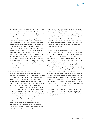order to service convertible bonds and/or bonds with warrants (or profit participation rights, or participating bonds with a conversion right, option right, or conversion obligation, or the company's right to offer), which were issued during the term of this authorization due to an authorization to issue convertible bonds and/or bonds with warrants (or profit participation rights, or participating bonds with a conversion right, option right, or conversion obligation, or the company's right to offer) in commensurate application of Section 186 (3) sentence 4 of the German Stock Corporation Act (AktG), excluding subscription rights. An inclusion that has been carried out is canceled if authorizations to issue new shares from authorized capital in accordance with Section 186 (3) sentence 4 of the German Stock Corporation Act (AktG) or to issue convertible bonds and/or bonds with warrants (or profit participation rights, or participating bonds with a conversion right, option right, or conversion obligation, or the company's right to offer) in commensurate application of Section 186 (3) sentence 4 of the German Stock Corporation Act (AktG) are granted again at the Annual General Meeting after exercising such authorizations that have led to inclusion.

b) Own shares that have been acquired can also be sold in a way other than a sale via the stock exchange or by means of an offer to all of the shareholders. This is provided that such sale is carried out in return for a contribution in kind by a third party, especially in conjunction with the acquisition of business entities, parts of business entities, or participating interests in business entities by the company itself or by a business entity dependent on it or majority-owned by it, and in conjunction with business combinations, or to fulfill conversion rights or obligations of holders and/or creditors relating to conversion or option rights issued by the company or Group entities of the company (or profit participation rights, or participating bonds with a conversion right, option right, or conversion obligation, or the company's right to offer), especially – but not exclusively – due to the authorization to issue convertible bonds and/or bonds with warrants, profit participation rights, and/or participating bonds (or combinations of these instruments) decided under item 6 of the agenda for the Annual General Meeting on March 2, 2017. The shareholders' subscription right is excluded in each case.

c) Own shares that have been acquired can be withdrawn entirely or in part without a further resolution at the Annual General Meeting. They can also be withdrawn in a simplified procedure without a reduction in capital by adjusting the proportionate notional share of the remaining no-par-value shares in the subscribed capital of the company. The withdrawal can be limited to a portion of the acquired shares. If the withdrawal takes place using the simplified procedure, the Executive Board is authorized to adjust the number of no-par-value shares in the Articles of Association.

The own shares collectively sold under the authorization mentioned previously, pursuant to items a) and b) and excluding the subscription right, may not exceed 20% of the share capital, neither at the time the authorization becomes effective nor at the time it is exercised. The 20% limit must include (i) new shares that are issued, excluding the subscription right, during the term of this authorization up to the sale of the own shares from authorized capital, without subscription rights, and (ii) those shares that are issued in order to service convertible bonds and/or bonds with warrants (or profit participation rights, or participating bonds with a conversion right, option right, or conversion obligation, or the company's right to offer), if the bonds were issued during the term of this authorization up to the sale of the own shares, excluding shareholder subscription rights. If and to the extent that the shareholders at the Annual General Meeting reissue the relevant authorization to exclude subscription rights after the authorization leading to offsetting against the 20% limit previously mentioned has been exercised, the offsetting that has already been carried out is no longer included.

The complete text of the resolution dated March 1, 2018 has been included under agenda item 8 in the invitation to the Annual General Meeting 2018 published in the German Federal Gazette on January 22, 2018.